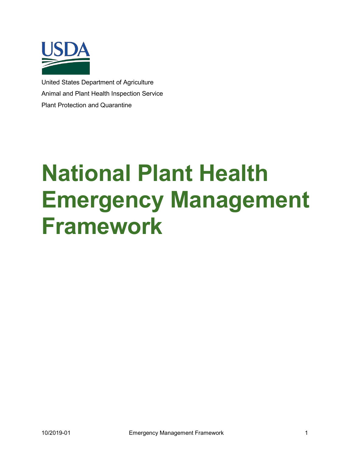

United States Department of Agriculture Animal and Plant Health Inspection Service Plant Protection and Quarantine

# **National Plant Health Emergency Management Framework**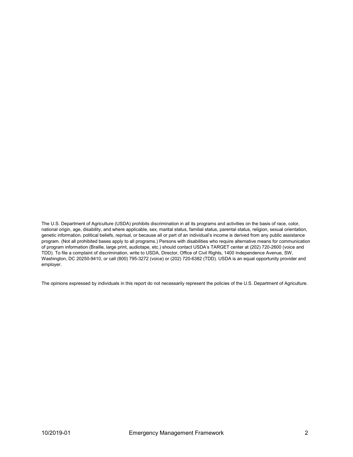The U.S. Department of Agriculture (USDA) prohibits discrimination in all its programs and activities on the basis of race, color, national origin, age, disability, and where applicable, sex, marital status, familial status, parental status, religion, sexual orientation, genetic information, political beliefs, reprisal, or because all or part of an individual's income is derived from any public assistance program. (Not all prohibited bases apply to all programs.) Persons with disabilities who require alternative means for communication of program information (Braille, large print, audiotape, etc.) should contact USDA's TARGET center at (202) 720-2600 (voice and TDD). To file a complaint of discrimination, write to USDA, Director, Office of Civil Rights, 1400 Independence Avenue, SW, Washington, DC 20250-9410, or call (800) 795-3272 (voice) or (202) 720-6382 (TDD). USDA is an equal opportunity provider and employer.

The opinions expressed by individuals in this report do not necessarily represent the policies of the U.S. Department of Agriculture.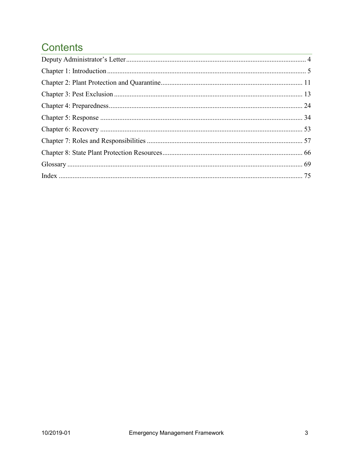## **Contents**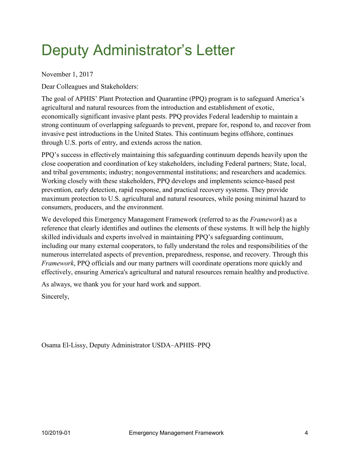## <span id="page-3-0"></span>Deputy Administrator's Letter

November 1, 2017

Dear Colleagues and Stakeholders:

The goal of APHIS' Plant Protection and Quarantine (PPQ) program is to safeguard America's agricultural and natural resources from the introduction and establishment of exotic, economically significant invasive plant pests. PPQ provides Federal leadership to maintain a strong continuum of overlapping safeguards to prevent, prepare for, respond to, and recover from invasive pest introductions in the United States. This continuum begins offshore, continues through U.S. ports of entry, and extends across the nation.

PPQ's success in effectively maintaining this safeguarding continuum depends heavily upon the close cooperation and coordination of key stakeholders, including Federal partners; State, local, and tribal governments; industry; nongovernmental institutions; and researchers and academics. Working closely with these stakeholders, PPQ develops and implements science-based pest prevention, early detection, rapid response, and practical recovery systems. They provide maximum protection to U.S. agricultural and natural resources, while posing minimal hazard to consumers, producers, and the environment.

We developed this Emergency Management Framework (referred to as the *Framework*) as a reference that clearly identifies and outlines the elements of these systems. It will help the highly skilled individuals and experts involved in maintaining PPQ's safeguarding continuum, including our many external cooperators, to fully understand the roles and responsibilities of the numerous interrelated aspects of prevention, preparedness, response, and recovery. Through this *Framework*, PPQ officials and our many partners will coordinate operations more quickly and effectively, ensuring America's agricultural and natural resources remain healthy and productive.

As always, we thank you for your hard work and support.

Sincerely,

Osama El-Lissy, Deputy Administrator USDA–APHIS–PPQ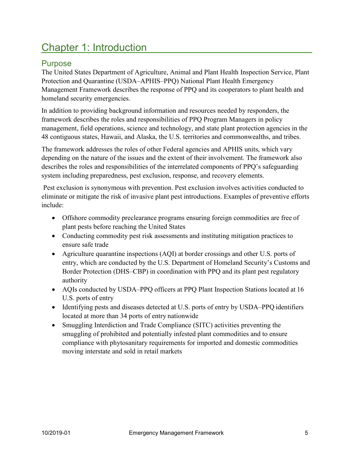## <span id="page-4-0"></span>Chapter 1: Introduction

#### Purpose

The United States Department of Agriculture, Animal and Plant Health Inspection Service, Plant Protection and Quarantine (USDA–APHIS–PPQ) National Plant Health Emergency Management Framework describes the response of PPQ and its cooperators to plant health and homeland security emergencies.

In addition to providing background information and resources needed by responders, the framework describes the roles and responsibilities of PPQ Program Managers in policy management, field operations, science and technology, and state plant protection agencies in the 48 contiguous states, Hawaii, and Alaska, the U.S. territories and commonwealths, and tribes.

The framework addresses the roles of other Federal agencies and APHIS units, which vary depending on the nature of the issues and the extent of their involvement. The framework also describes the roles and responsibilities of the interrelated components of PPQ's safeguarding system including preparedness, pest exclusion, response, and recovery elements.

Pest exclusion is synonymous with prevention. Pest exclusion involves activities conducted to eliminate or mitigate the risk of invasive plant pest introductions. Examples of preventive efforts include:

- Offshore commodity preclearance programs ensuring foreign commodities are free of plant pests before reaching the United States
- Conducting commodity pest risk assessments and instituting mitigation practices to ensure safe trade
- Agriculture quarantine inspections (AQI) at border crossings and other U.S. ports of entry, which are conducted by the U.S. Department of Homeland Security's Customs and Border Protection (DHS–CBP) in coordination with PPQ and its plant pest regulatory authority
- AQIs conducted by USDA–PPQ officers at PPQ Plant Inspection Stations located at 16 U.S. ports of entry
- Identifying pests and diseases detected at U.S. ports of entry by USDA–PPQ identifiers located at more than 34 ports of entry nationwide
- Smuggling Interdiction and Trade Compliance (SITC) activities preventing the smuggling of prohibited and potentially infested plant commodities and to ensure compliance with phytosanitary requirements for imported and domestic commodities moving interstate and sold in retail markets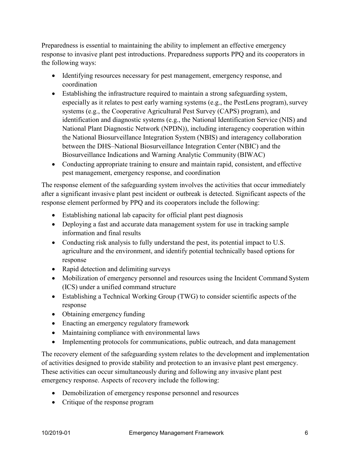Preparedness is essential to maintaining the ability to implement an effective emergency response to invasive plant pest introductions. Preparedness supports PPQ and its cooperators in the following ways:

- Identifying resources necessary for pest management, emergency response, and coordination
- Establishing the infrastructure required to maintain a strong safeguarding system, especially as it relates to pest early warning systems (e.g., the PestLens program), survey systems (e.g., the Cooperative Agricultural Pest Survey (CAPS) program), and identification and diagnostic systems (e.g., the National Identification Service (NIS) and National Plant Diagnostic Network (NPDN)), including interagency cooperation within the National Biosurveillance Integration System (NBIS) and interagency collaboration between the DHS–National Biosurveillance Integration Center (NBIC) and the Biosurveillance Indications and Warning Analytic Community (BIWAC)
- Conducting appropriate training to ensure and maintain rapid, consistent, and effective pest management, emergency response, and coordination

The response element of the safeguarding system involves the activities that occur immediately after a significant invasive plant pest incident or outbreak is detected. Significant aspects of the response element performed by PPQ and its cooperators include the following:

- Establishing national lab capacity for official plant pest diagnosis
- Deploying a fast and accurate data management system for use in tracking sample information and final results
- Conducting risk analysis to fully understand the pest, its potential impact to U.S. agriculture and the environment, and identify potential technically based options for response
- Rapid detection and delimiting surveys
- Mobilization of emergency personnel and resources using the Incident Command System (ICS) under a unified command structure
- Establishing a Technical Working Group (TWG) to consider scientific aspects of the response
- Obtaining emergency funding
- Enacting an emergency regulatory framework
- Maintaining compliance with environmental laws
- Implementing protocols for communications, public outreach, and data management

The recovery element of the safeguarding system relates to the development and implementation of activities designed to provide stability and protection to an invasive plant pest emergency. These activities can occur simultaneously during and following any invasive plant pest emergency response. Aspects of recovery include the following:

- Demobilization of emergency response personnel and resources
- Critique of the response program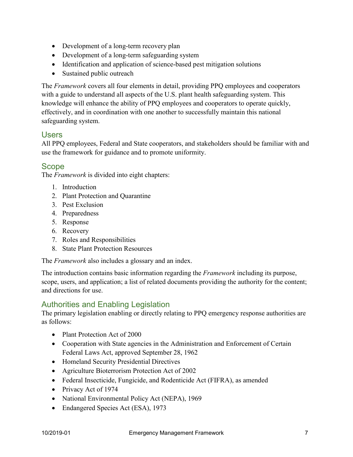- Development of a long-term recovery plan
- Development of a long-term safeguarding system
- Identification and application of science-based pest mitigation solutions
- Sustained public outreach

The *Framework* covers all four elements in detail, providing PPQ employees and cooperators with a guide to understand all aspects of the U.S. plant health safeguarding system. This knowledge will enhance the ability of PPQ employees and cooperators to operate quickly, effectively, and in coordination with one another to successfully maintain this national safeguarding system.

#### Users

All PPQ employees, Federal and State cooperators, and stakeholders should be familiar with and use the framework for guidance and to promote uniformity.

#### Scope

The *Framework* is divided into eight chapters:

- 1. Introduction
- 2. Plant Protection and Quarantine
- 3. Pest Exclusion
- 4. Preparedness
- 5. Response
- 6. Recovery
- 7. Roles and Responsibilities
- 8. State Plant Protection Resources

The *Framework* also includes a glossary and an index.

The introduction contains basic information regarding the *Framework* including its purpose, scope, users, and application; a list of related documents providing the authority for the content; and directions for use.

#### Authorities and Enabling Legislation

The primary legislation enabling or directly relating to PPQ emergency response authorities are as follows:

- Plant Protection Act of 2000
- Cooperation with State agencies in the Administration and Enforcement of Certain Federal Laws Act, approved September 28, 1962
- Homeland Security Presidential Directives
- Agriculture Bioterrorism Protection Act of 2002
- Federal Insecticide, Fungicide, and Rodenticide Act (FIFRA), as amended
- Privacy Act of 1974
- National Environmental Policy Act (NEPA), 1969
- Endangered Species Act (ESA), 1973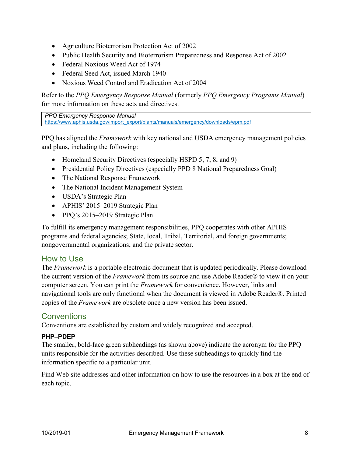- Agriculture Bioterrorism Protection Act of 2002
- Public Health Security and Bioterrorism Preparedness and Response Act of 2002
- Federal Noxious Weed Act of 1974
- Federal Seed Act, issued March 1940
- Noxious Weed Control and Eradication Act of 2004

Refer to the *PPQ Emergency Response Manual* (formerly *PPQ Emergency Programs Manual*) for more information on these acts and directives.

*PPQ Emergency Response Manual* [https://www.aphis.usda.gov/import\\_export/plants/manuals/emergency/downloads/epm.pdf](http://www.aphis.usda.gov/import_export/plants/manuals/emergency/downloads/epm.pdf)

PPQ has aligned the *Framework* with key national and USDA emergency management policies and plans, including the following:

- Homeland Security Directives (especially HSPD 5, 7, 8, and 9)
- Presidential Policy Directives (especially PPD 8 National Preparedness Goal)
- The National Response Framework
- The National Incident Management System
- USDA's Strategic Plan
- APHIS' 2015–2019 Strategic Plan
- PPQ's 2015–2019 Strategic Plan

To fulfill its emergency management responsibilities, PPQ cooperates with other APHIS programs and federal agencies; State, local, Tribal, Territorial, and foreign governments; nongovernmental organizations; and the private sector.

#### How to Use

The *Framework* is a portable electronic document that is updated periodically. Please download the current version of the *Framework* from its source and use Adobe Reader® to view it on your computer screen. You can print the *Framework* for convenience. However, links and navigational tools are only functional when the document is viewed in Adobe Reader®. Printed copies of the *Framework* are obsolete once a new version has been issued.

#### **Conventions**

Conventions are established by custom and widely recognized and accepted.

#### **PHP–PDEP**

The smaller, bold-face green subheadings (as shown above) indicate the acronym for the PPQ units responsible for the activities described. Use these subheadings to quickly find the information specific to a particular unit.

Find Web site addresses and other information on how to use the resources in a box at the end of each topic.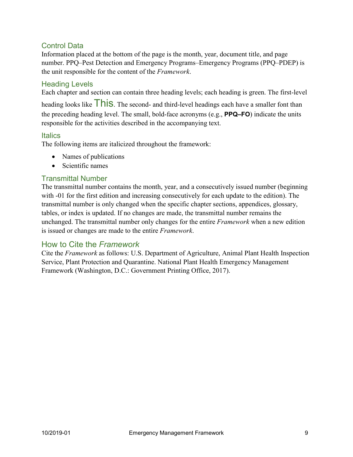#### Control Data

Information placed at the bottom of the page is the month, year, document title, and page number. PPQ–Pest Detection and Emergency Programs–Emergency Programs (PPQ–PDEP) is the unit responsible for the content of the *Framework*.

#### Heading Levels

Each chapter and section can contain three heading levels; each heading is green. The first-level

heading looks like This. The second- and third-level headings each have a smaller font than the preceding heading level. The small, bold-face acronyms (e.g., **PPQ–FO**) indicate the units responsible for the activities described in the accompanying text.

#### Italics

The following items are italicized throughout the framework:

- Names of publications
- Scientific names

#### Transmittal Number

The transmittal number contains the month, year, and a consecutively issued number (beginning with -01 for the first edition and increasing consecutively for each update to the edition). The transmittal number is only changed when the specific chapter sections, appendices, glossary, tables, or index is updated. If no changes are made, the transmittal number remains the unchanged. The transmittal number only changes for the entire *Framework* when a new edition is issued or changes are made to the entire *Framework*.

#### How to Cite the *Framework*

Cite the *Framework* as follows: U.S. Department of Agriculture, Animal Plant Health Inspection Service, Plant Protection and Quarantine. National Plant Health Emergency Management Framework (Washington, D.C.: Government Printing Office, 2017).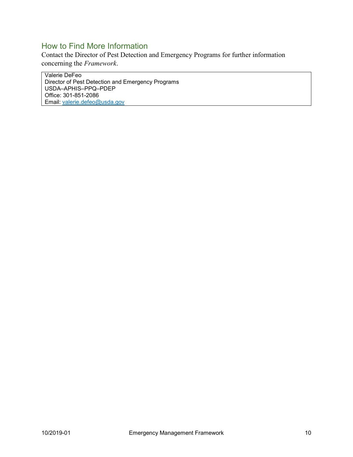#### How to Find More Information

Contact the Director of Pest Detection and Emergency Programs for further information concerning the *Framework*.

Valerie DeFeo Director of Pest Detection and Emergency Programs USDA–APHIS–PPQ–PDEP Office: 301-851-2086 Email: [valerie.defeo@usda.gov](mailto:valerie.defeo@usda.gov)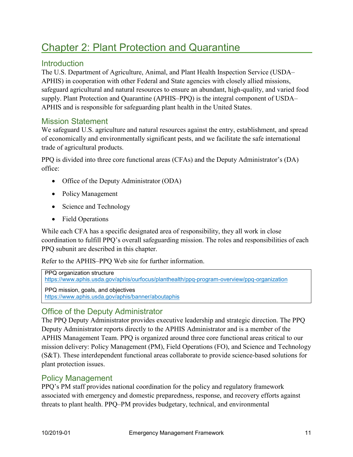## <span id="page-10-0"></span>Chapter 2: Plant Protection and Quarantine

#### **Introduction**

The U.S. Department of Agriculture, Animal, and Plant Health Inspection Service (USDA– APHIS) in cooperation with other Federal and State agencies with closely allied missions, safeguard agricultural and natural resources to ensure an abundant, high-quality, and varied food supply. Plant Protection and Quarantine (APHIS–PPQ) is the integral component of USDA– APHIS and is responsible for safeguarding plant health in the United States.

#### Mission Statement

We safeguard U.S. agriculture and natural resources against the entry, establishment, and spread of economically and environmentally significant pests, and we facilitate the safe international trade of agricultural products.

PPQ is divided into three core functional areas (CFAs) and the Deputy Administrator's (DA) office:

- Office of the Deputy Administrator (ODA)
- Policy Management
- Science and Technology
- Field Operations

While each CFA has a specific designated area of responsibility, they all work in close coordination to fulfill PPQ's overall safeguarding mission. The roles and responsibilities of each PPQ subunit are described in this chapter.

Refer to the APHIS–PPQ Web site for further information.

PPQ organization structure

[https://www.aphis.usda.gov/aphis/ourfocus/planthealth/ppq-program-ove](https://www.aphis.usda.gov/aphis/ourfocus/planthealth/ppq-program-overview/ppq-organization)rview/ppq-organization

[PPQ mission, goals, and objectives](https://www.aphis.usda.gov/aphis/banner/aboutaphis) <https://www.aphis.usda.gov/aphis/banner/aboutaphis>

#### Office of the Deputy Administrator

The PPQ Deputy Administrator provides executive leadership and strategic direction. The PPQ Deputy Administrator reports directly to the APHIS Administrator and is a member of the APHIS Management Team. PPQ is organized around three core functional areas critical to our mission delivery: Policy Management (PM), Field Operations (FO), and Science and Technology (S&T). These interdependent functional areas collaborate to provide science-based solutions for plant protection issues.

#### Policy Management

PPQ's PM staff provides national coordination for the policy and regulatory framework associated with emergency and domestic preparedness, response, and recovery efforts against threats to plant health. PPQ–PM provides budgetary, technical, and environmental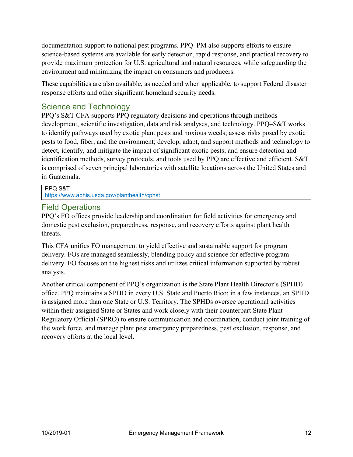documentation support to national pest programs. PPQ–PM also supports efforts to ensure science-based systems are available for early detection, rapid response, and practical recovery to provide maximum protection for U.S. agricultural and natural resources, while safeguarding the environment and minimizing the impact on consumers and producers.

These capabilities are also available, as needed and when applicable, to support Federal disaster response efforts and other significant homeland security needs.

#### Science and Technology

PPQ's S&T CFA supports PPQ regulatory decisions and operations through methods development, scientific investigation, data and risk analyses, and technology. PPQ–S&T works to identify pathways used by exotic plant pests and noxious weeds; assess risks posed by exotic pests to food, fiber, and the environment; develop, adapt, and support methods and technology to detect, identify, and mitigate the impact of significant exotic pests; and ensure detection and identification methods, survey protocols, and tools used by PPQ are effective and efficient. S&T is comprised of seven principal laboratories with satellite locations across the United States and in Guatemala.

PPQ S&T

<https://www.aphis.usda.gov/planthealth/cphst>

#### Field Operations

PPQ's FO offices provide leadership and coordination for field activities for emergency and domestic pest exclusion, preparedness, response, and recovery efforts against plant health threats.

This CFA unifies FO management to yield effective and sustainable support for program delivery. FOs are managed seamlessly, blending policy and science for effective program delivery. FO focuses on the highest risks and utilizes critical information supported by robust analysis.

Another critical component of PPQ's organization is the State Plant Health Director's (SPHD) office. PPQ maintains a SPHD in every U.S. State and Puerto Rico; in a few instances, an SPHD is assigned more than one State or U.S. Territory. The SPHDs oversee operational activities within their assigned State or States and work closely with their counterpart State Plant Regulatory Official (SPRO) to ensure communication and coordination, conduct joint training of the work force, and manage plant pest emergency preparedness, pest exclusion, response, and recovery efforts at the local level.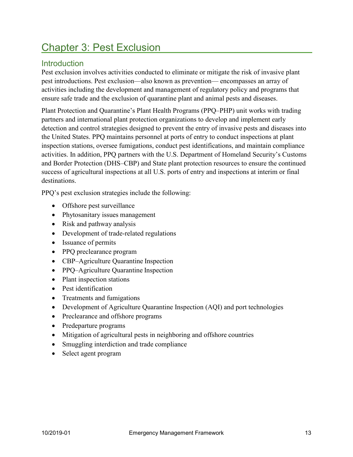## <span id="page-12-0"></span>Chapter 3: Pest Exclusion

#### **Introduction**

Pest exclusion involves activities conducted to eliminate or mitigate the risk of invasive plant pest introductions. Pest exclusion—also known as prevention— encompasses an array of activities including the development and management of regulatory policy and programs that ensure safe trade and the exclusion of quarantine plant and animal pests and diseases.

Plant Protection and Quarantine's Plant Health Programs (PPQ–PHP) unit works with trading partners and international plant protection organizations to develop and implement early detection and control strategies designed to prevent the entry of invasive pests and diseases into the United States. PPQ maintains personnel at ports of entry to conduct inspections at plant inspection stations, oversee fumigations, conduct pest identifications, and maintain compliance activities. In addition, PPQ partners with the U.S. Department of Homeland Security's Customs and Border Protection (DHS–CBP) and State plant protection resources to ensure the continued success of agricultural inspections at all U.S. ports of entry and inspections at interim or final destinations.

PPQ's pest exclusion strategies include the following:

- Offshore pest surveillance
- Phytosanitary issues management
- Risk and pathway analysis
- Development of trade-related regulations
- Issuance of permits
- PPQ preclearance program
- CBP–Agriculture Quarantine Inspection
- PPQ–Agriculture Quarantine Inspection
- Plant inspection stations
- Pest identification
- Treatments and fumigations
- Development of Agriculture Quarantine Inspection (AQI) and port technologies
- Preclearance and offshore programs
- Predeparture programs
- Mitigation of agricultural pests in neighboring and offshore countries
- Smuggling interdiction and trade compliance
- Select agent program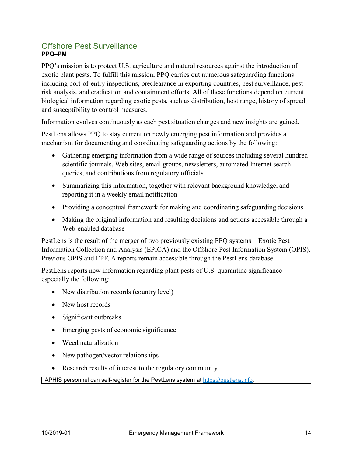#### Offshore Pest Surveillance **PPQ–PM**

PPQ's mission is to protect U.S. agriculture and natural resources against the introduction of exotic plant pests. To fulfill this mission, PPQ carries out numerous safeguarding functions including port-of-entry inspections, preclearance in exporting countries, pest surveillance, pest risk analysis, and eradication and containment efforts. All of these functions depend on current biological information regarding exotic pests, such as distribution, host range, history of spread, and susceptibility to control measures.

Information evolves continuously as each pest situation changes and new insights are gained.

PestLens allows PPQ to stay current on newly emerging pest information and provides a mechanism for documenting and coordinating safeguarding actions by the following:

- Gathering emerging information from a wide range of sources including several hundred scientific journals, Web sites, email groups, newsletters, automated Internet search queries, and contributions from regulatory officials
- Summarizing this information, together with relevant background knowledge, and reporting it in a weekly email notification
- Providing a conceptual framework for making and coordinating safeguarding decisions
- Making the original information and resulting decisions and actions accessible through a Web-enabled database

PestLens is the result of the merger of two previously existing PPQ systems—Exotic Pest Information Collection and Analysis (EPICA) and the Offshore Pest Information System (OPIS). Previous OPIS and EPICA reports remain accessible through the PestLens database.

PestLens reports new information regarding plant pests of U.S. quarantine significance especially the following:

- New distribution records (country level)
- New host records
- Significant outbreaks
- Emerging pests of economic significance
- Weed naturalization
- New pathogen/vector relationships
- Research results of interest to the regulatory community

APHIS personnel can self-register for the PestLens system at [https://pestlens.info.](https://pestlens.info/)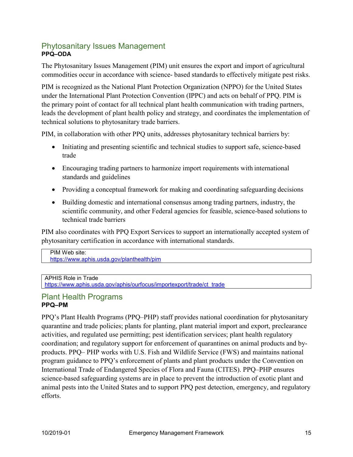#### Phytosanitary Issues Management **PPQ–ODA**

The Phytosanitary Issues Management (PIM) unit ensures the export and import of agricultural commodities occur in accordance with science- based standards to effectively mitigate pest risks.

PIM is recognized as the National Plant Protection Organization (NPPO) for the United States under the International Plant Protection Convention (IPPC) and acts on behalf of PPQ. PIM is the primary point of contact for all technical plant health communication with trading partners, leads the development of plant health policy and strategy, and coordinates the implementation of technical solutions to phytosanitary trade barriers.

PIM, in collaboration with other PPQ units, addresses phytosanitary technical barriers by:

- Initiating and presenting scientific and technical studies to support safe, science-based trade
- Encouraging trading partners to harmonize import requirements with international standards and guidelines
- Providing a conceptual framework for making and coordinating safeguarding decisions
- Building domestic and international consensus among trading partners, industry, the scientific community, and other Federal agencies for feasible, science-based solutions to technical trade barriers

PIM also coordinates with PPQ Export Services to support an internationally accepted system of phytosanitary certification in accordance with international standards.

PIM Web site: <https://www.aphis.usda.gov/planthealth/pim>

 $\overline{a}$ A[PHIS Role in Trade](https://www.aphis.usda.gov/aphis/ourfocus/planthealth/international/phytosanitary-management)

[https://www.aphis.usda.gov/aphis/ourfocus/importexport/trade/ct\\_trade](https://www.aphis.usda.gov/aphis/ourfocus/importexport/trade/ct_trade)

#### Plant Health Programs **PPQ–PM**

PPQ's Plant Health Programs (PPQ–PHP) staff provides national coordination for phytosanitary quarantine and trade policies; plants for planting, plant material import and export, preclearance activities, and regulated use permitting; pest identification services; plant health regulatory coordination; and regulatory support for enforcement of quarantines on animal products and byproducts. PPQ– PHP works with U.S. Fish and Wildlife Service (FWS) and maintains national program guidance to PPQ's enforcement of plants and plant products under the Convention on International Trade of Endangered Species of Flora and Fauna (CITES). PPQ–PHP ensures science-based safeguarding systems are in place to prevent the introduction of exotic plant and animal pests into the United States and to support PPQ pest detection, emergency, and regulatory efforts.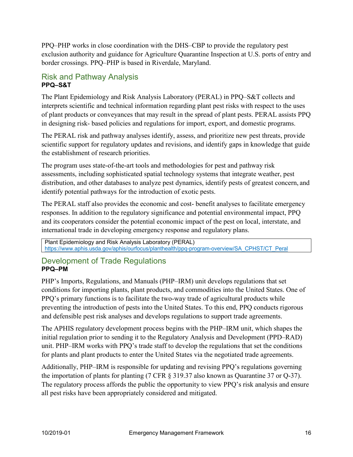PPQ–PHP works in close coordination with the DHS–CBP to provide the regulatory pest exclusion authority and guidance for Agriculture Quarantine Inspection at U.S. ports of entry and border crossings. PPQ–PHP is based in Riverdale, Maryland.

#### Risk and Pathway Analysis **PPQ–S&T**

The Plant Epidemiology and Risk Analysis Laboratory (PERAL) in PPQ–S&T collects and interprets scientific and technical information regarding plant pest risks with respect to the uses of plant products or conveyances that may result in the spread of plant pests. PERAL assists PPQ in designing risk- based policies and regulations for import, export, and domestic programs.

The PERAL risk and pathway analyses identify, assess, and prioritize new pest threats, provide scientific support for regulatory updates and revisions, and identify gaps in knowledge that guide the establishment of research priorities.

The program uses state-of-the-art tools and methodologies for pest and pathway risk assessments, including sophisticated spatial technology systems that integrate weather, pest distribution, and other databases to analyze pest dynamics, identify pests of greatest concern, and identify potential pathways for the introduction of exotic pests.

The PERAL staff also provides the economic and cost- benefit analyses to facilitate emergency responses. In addition to the regulatory significance and potential environmental impact, PPQ and its cooperators consider the potential economic impact of the pest on local, interstate, and international trade in developing emergency response and regulatory plans.

Plant Epidemiology and Risk Analysis Laboratory (PERAL) [https://www.aphis.usda.gov/aphis/ourfocus/planthealth/ppq-program-overview/SA\\_CPHST/CT\\_Peral](https://www.aphis.usda.gov/aphis/ourfocus/planthealth/ppq-program-overview/SA_CPHST/CT_Peral)

#### Development of Trade Regulations **PPQ–PM**

PHP's Imports, Regulations, and Manuals (PHP–IRM) unit develops regulations that set conditions for importing plants, plant products, and commodities into the United States. One of PPQ's primary functions is to facilitate the two-way trade of agricultural products while preventing the introduction of pests into the United States. To this end, PPQ conducts rigorous and defensible pest risk analyses and develops regulations to support trade agreements.

The APHIS regulatory development process begins with the PHP–IRM unit, which shapes the initial regulation prior to sending it to the Regulatory Analysis and Development (PPD–RAD) unit. PHP–IRM works with PPQ's trade staff to develop the regulations that set the conditions for plants and plant products to enter the United States via the negotiated trade agreements.

Additionally, PHP–IRM is responsible for updating and revising PPQ's regulations governing the importation of plants for planting (7 CFR § 319.37 also known as Quarantine 37 or Q-37). The regulatory process affords the public the opportunity to view PPQ's risk analysis and ensure all pest risks have been appropriately considered and mitigated.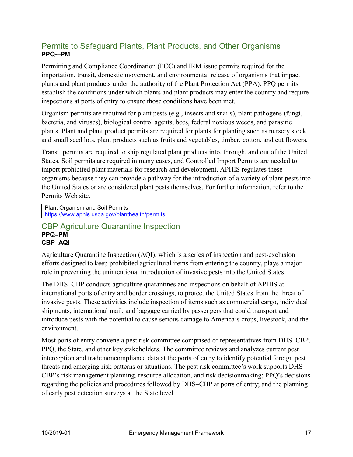#### Permits to Safeguard Plants, Plant Products, and Other Organisms **PPQ-–PM**

Permitting and Compliance Coordination (PCC) and IRM issue permits required for the importation, transit, domestic movement, and environmental release of organisms that impact plants and plant products under the authority of the Plant Protection Act (PPA). PPQ permits establish the conditions under which plants and plant products may enter the country and require inspections at ports of entry to ensure those conditions have been met.

Organism permits are required for plant pests (e.g., insects and snails), plant pathogens (fungi, bacteria, and viruses), biological control agents, bees, federal noxious weeds, and parasitic plants. Plant and plant product permits are required for plants for planting such as nursery stock and small seed lots, plant products such as fruits and vegetables, timber, cotton, and cut flowers.

Transit permits are required to ship regulated plant products into, through, and out of the United States. Soil permits are required in many cases, and Controlled Import Permits are needed to import prohibited plant materials for research and development. APHIS regulates these organisms because they can provide a pathway for the introduction of a variety of plant pestsinto the United States or are considered plant pests themselves. For further information, refer to the Permits Web site.

Plant Organism and Soil Permits <https://www.aphis.usda.gov/planthealth/permits>

#### CBP Agriculture Quarantine Inspection **PPQ–PM CBP–AQI**

Agriculture Quarantine Inspection (AQI), which is a series of inspection and pest-exclusion efforts designed to keep prohibited agricultural items from entering the country, plays a major role in preventing the unintentional introduction of invasive pests into the United States.

The DHS–CBP conducts agriculture quarantines and inspections on behalf of APHIS at international ports of entry and border crossings, to protect the United States from the threat of invasive pests. These activities include inspection of items such as commercial cargo, individual shipments, international mail, and baggage carried by passengers that could transport and introduce pests with the potential to cause serious damage to America's crops, livestock, and the environment.

Most ports of entry convene a pest risk committee comprised of representatives from DHS–CBP, PPQ, the State, and other key stakeholders. The committee reviews and analyzes current pest interception and trade noncompliance data at the ports of entry to identify potential foreign pest threats and emerging risk patterns or situations. The pest risk committee's work supports DHS– CBP's risk management planning, resource allocation, and risk decisionmaking; PPQ's decisions regarding the policies and procedures followed by DHS–CBP at ports of entry; and the planning of early pest detection surveys at the State level.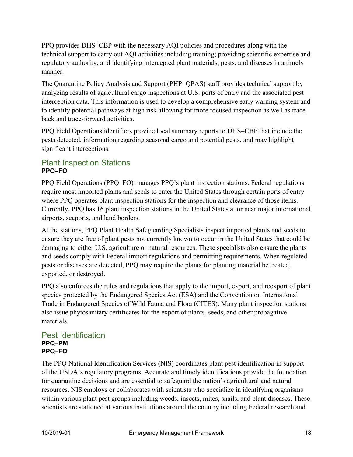PPQ provides DHS–CBP with the necessary AQI policies and procedures along with the technical support to carry out AQI activities including training; providing scientific expertise and regulatory authority; and identifying intercepted plant materials, pests, and diseases in a timely manner.

The Quarantine Policy Analysis and Support (PHP–QPAS) staff provides technical support by analyzing results of agricultural cargo inspections at U.S. ports of entry and the associated pest interception data. This information is used to develop a comprehensive early warning system and to identify potential pathways at high risk allowing for more focused inspection as well as traceback and trace-forward activities.

PPQ Field Operations identifiers provide local summary reports to DHS–CBP that include the pests detected, information regarding seasonal cargo and potential pests, and may highlight significant interceptions.

#### Plant Inspection Stations **PPQ–FO**

PPQ Field Operations (PPQ–FO) manages PPQ's plant inspection stations. Federal regulations require most imported plants and seeds to enter the United States through certain ports of entry where PPQ operates plant inspection stations for the inspection and clearance of those items. Currently, PPQ has 16 plant inspection stations in the United States at or near major international airports, seaports, and land borders.

At the stations, PPQ Plant Health Safeguarding Specialists inspect imported plants and seeds to ensure they are free of plant pests not currently known to occur in the United States that could be damaging to either U.S. agriculture or natural resources. These specialists also ensure the plants and seeds comply with Federal import regulations and permitting requirements. When regulated pests or diseases are detected, PPQ may require the plants for planting material be treated, exported, or destroyed.

PPQ also enforces the rules and regulations that apply to the import, export, and reexport of plant species protected by the Endangered Species Act (ESA) and the Convention on International Trade in Endangered Species of Wild Fauna and Flora (CITES). Many plant inspection stations also issue phytosanitary certificates for the export of plants, seeds, and other propagative materials.

#### Pest Identification **PPQ–PM PPQ–FO**

The PPQ National Identification Services (NIS) coordinates plant pest identification in support of the USDA's regulatory programs. Accurate and timely identifications provide the foundation for quarantine decisions and are essential to safeguard the nation's agricultural and natural resources. NIS employs or collaborates with scientists who specialize in identifying organisms within various plant pest groups including weeds, insects, mites, snails, and plant diseases. These scientists are stationed at various institutions around the country including Federal research and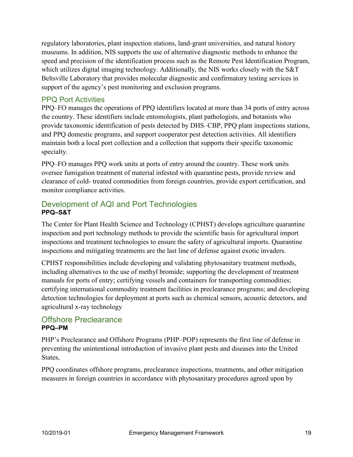regulatory laboratories, plant inspection stations, land-grant universities, and natural history museums. In addition, NIS supports the use of alternative diagnostic methods to enhance the speed and precision of the identification process such as the Remote Pest Identification Program, which utilizes digital imaging technology. Additionally, the NIS works closely with the S&T Beltsville Laboratory that provides molecular diagnostic and confirmatory testing services in support of the agency's pest monitoring and exclusion programs.

#### PPQ Port Activities

PPQ–FO manages the operations of PPQ identifiers located at more than 34 ports of entry across the country. These identifiers include entomologists, plant pathologists, and botanists who provide taxonomic identification of pests detected by DHS–CBP, PPQ plant inspections stations, and PPQ domestic programs, and support cooperator pest detection activities. All identifiers maintain both a local port collection and a collection that supports their specific taxonomic specialty.

PPQ–FO manages PPQ work units at ports of entry around the country. These work units oversee fumigation treatment of material infested with quarantine pests, provide review and clearance of cold- treated commodities from foreign countries, provide export certification, and monitor compliance activities.

#### Development of AQI and Port Technologies **PPQ–S&T**

The Center for Plant Health Science and Technology (CPHST) develops agriculture quarantine inspection and port technology methods to provide the scientific basis for agricultural import inspections and treatment technologies to ensure the safety of agricultural imports. Quarantine inspections and mitigating treatments are the last line of defense against exotic invaders.

CPHST responsibilities include developing and validating phytosanitary treatment methods, including alternatives to the use of methyl bromide; supporting the development of treatment manuals for ports of entry; certifying vessels and containers for transporting commodities; certifying international commodity treatment facilities in preclearance programs; and developing detection technologies for deployment at ports such as chemical sensors, acoustic detectors, and agricultural x-ray technology

#### Offshore Preclearance **PPQ–PM**

PHP's Preclearance and Offshore Programs (PHP–POP) represents the first line of defense in preventing the unintentional introduction of invasive plant pests and diseases into the United States,

PPQ coordinates offshore programs, preclearance inspections, treatments, and other mitigation measures in foreign countries in accordance with phytosanitary procedures agreed upon by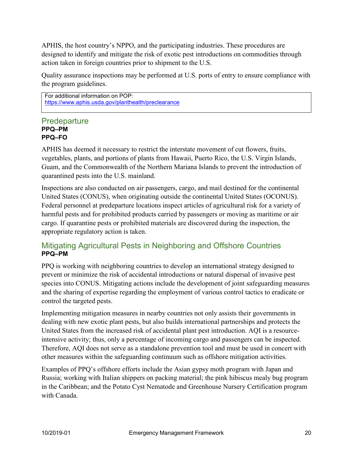APHIS, the host country's NPPO, and the participating industries. These procedures are designed to identify and mitigate the risk of exotic pest introductions on commodities through action taken in foreign countries prior to shipment to the U.S.

Quality assurance inspections may be performed at U.S. ports of entry to ensure compliance with the program guidelines.

For additional information on POP: <https://www.aphis.usda.gov/planthealth/preclearance>

#### **Predeparture PPQ–PM PPQ–FO**

APHIS has deemed it necessary to restrict the interstate movement of cut flowers, fruits, vegetables, plants, and portions of plants from Hawaii, Puerto Rico, the U.S. Virgin Islands, Guam, and the Commonwealth of the Northern Mariana Islands to prevent the introduction of quarantined pests into the U.S. mainland.

Inspections are also conducted on air passengers, cargo, and mail destined for the continental United States (CONUS), when originating outside the continental United States (OCONUS). Federal personnel at predeparture locations inspect articles of agricultural risk for a variety of harmful pests and for prohibited products carried by passengers or moving as maritime or air cargo. If quarantine pests or prohibited materials are discovered during the inspection, the appropriate regulatory action is taken.

#### Mitigating Agricultural Pests in Neighboring and Offshore Countries **PPQ–PM**

PPQ is working with neighboring countries to develop an international strategy designed to prevent or minimize the risk of accidental introductions or natural dispersal of invasive pest species into CONUS. Mitigating actions include the development of joint safeguarding measures and the sharing of expertise regarding the employment of various control tactics to eradicate or control the targeted pests.

Implementing mitigation measures in nearby countries not only assists their governments in dealing with new exotic plant pests, but also builds international partnerships and protects the United States from the increased risk of accidental plant pest introduction. AQI is a resourceintensive activity; thus, only a percentage of incoming cargo and passengers can be inspected. Therefore, AQI does not serve as a standalone prevention tool and must be used in concert with other measures within the safeguarding continuum such as offshore mitigation activities.

Examples of PPQ's offshore efforts include the Asian gypsy moth program with Japan and Russia; working with Italian shippers on packing material; the pink hibiscus mealy bug program in the Caribbean; and the Potato Cyst Nematode and Greenhouse Nursery Certification program with Canada.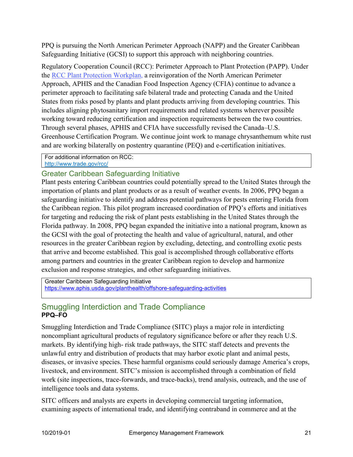PPQ is pursuing the North American Perimeter Approach (NAPP) and the Greater Caribbean Safeguarding Initiative (GCSI) to support this approach with neighboring countries.

Regulatory Cooperation Council (RCC): Perimeter Approach to Plant Protection (PAPP). Under the [RCC Plant Protection Workplan,](https://www.trade.gov/rcc/) a reinvigoration of the North American Perimeter Approach, APHIS and the Canadian Food Inspection Agency (CFIA) continue to advance a perimeter approach to facilitating safe bilateral trade and protecting Canada and the United States from risks posed by plants and plant products arriving from developing countries. This includes aligning phytosanitary import requirements and related systems wherever possible working toward reducing certification and inspection requirements between the two countries. Through several phases, APHIS and CFIA have successfully revised the Canada–U.S. Greenhouse Certification Program. We continue joint work to manage chrysanthemum white rust and are working bilaterally on postentry quarantine (PEQ) and e-certification initiatives.

For additional information on RCC: <http://www.trade.gov/rcc/>

#### Greater Caribbean Safeguarding Initiative

Plant pests entering Caribbean countries could potentially spread to the United States through the importation of plants and plant products or as a result of weather events. In 2006, PPQ began a safeguarding initiative to identify and address potential pathways for pests entering Florida from the Caribbean region. This pilot program increased coordination of PPQ's efforts and initiatives for targeting and reducing the risk of plant pests establishing in the United States through the Florida pathway. In 2008, PPQ began expanded the initiative into a national program, known as the GCSI with the goal of protecting the health and value of agricultural, natural, and other resources in the greater Caribbean region by excluding, detecting, and controlling exotic pests that arrive and become established. This goal is accomplished through collaborative efforts among partners and countries in the greater Caribbean region to develop and harmonize exclusion and response strategies, and other safeguarding initiatives.

Greater Caribbean Safeguarding Initiative <https://www.aphis.usda.gov/planthealth/offshore-safeguarding-activities>

#### Smuggling Interdiction and Trade Compliance **PPQ–FO**

Smuggling Interdiction and Trade Compliance (SITC) plays a major role in interdicting noncompliant agricultural products of regulatory significance before or after they reach U.S. markets. By identifying high- risk trade pathways, the SITC staff detects and prevents the unlawful entry and distribution of products that may harbor exotic plant and animal pests, diseases, or invasive species. These harmful organisms could seriously damage America's crops, livestock, and environment. SITC's mission is accomplished through a combination of field work (site inspections, trace-forwards, and trace-backs), trend analysis, outreach, and the use of intelligence tools and data systems.

SITC officers and analysts are experts in developing commercial targeting information, examining aspects of international trade, and identifying contraband in commerce and at the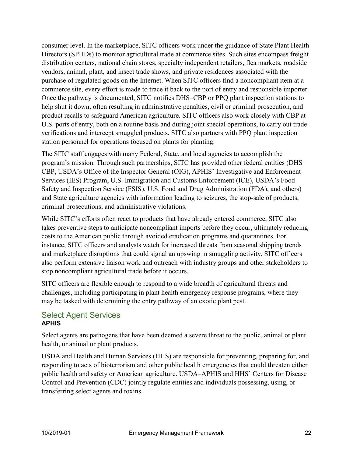consumer level. In the marketplace, SITC officers work under the guidance of State Plant Health Directors (SPHDs) to monitor agricultural trade at commerce sites. Such sites encompass freight distribution centers, national chain stores, specialty independent retailers, flea markets, roadside vendors, animal, plant, and insect trade shows, and private residences associated with the purchase of regulated goods on the Internet. When SITC officers find a noncompliant item at a commerce site, every effort is made to trace it back to the port of entry and responsible importer. Once the pathway is documented, SITC notifies DHS–CBP or PPQ plant inspection stations to help shut it down, often resulting in administrative penalties, civil or criminal prosecution, and product recalls to safeguard American agriculture. SITC officers also work closely with CBP at U.S. ports of entry, both on a routine basis and during joint special operations, to carry out trade verifications and intercept smuggled products. SITC also partners with PPQ plant inspection station personnel for operations focused on plants for planting.

The SITC staff engages with many Federal, State, and local agencies to accomplish the program's mission. Through such partnerships, SITC has provided other federal entities (DHS– CBP, USDA's Office of the Inspector General (OIG), APHIS' Investigative and Enforcement Services (IES) Program, U.S. Immigration and Customs Enforcement (ICE), USDA's Food Safety and Inspection Service (FSIS), U.S. Food and Drug Administration (FDA), and others) and State agriculture agencies with information leading to seizures, the stop-sale of products, criminal prosecutions, and administrative violations.

While SITC's efforts often react to products that have already entered commerce, SITC also takes preventive steps to anticipate noncompliant imports before they occur, ultimately reducing costs to the American public through avoided eradication programs and quarantines. For instance, SITC officers and analysts watch for increased threats from seasonal shipping trends and marketplace disruptions that could signal an upswing in smuggling activity. SITC officers also perform extensive liaison work and outreach with industry groups and other stakeholders to stop noncompliant agricultural trade before it occurs.

SITC officers are flexible enough to respond to a wide breadth of agricultural threats and challenges, including participating in plant health emergency response programs, where they may be tasked with determining the entry pathway of an exotic plant pest.

#### Select Agent Services **APHIS**

Select agents are pathogens that have been deemed a severe threat to the public, animal or plant health, or animal or plant products.

USDA and Health and Human Services (HHS) are responsible for preventing, preparing for, and responding to acts of bioterrorism and other public health emergencies that could threaten either public health and safety or American agriculture. USDA–APHIS and HHS' Centers for Disease Control and Prevention (CDC) jointly regulate entities and individuals possessing, using, or transferring select agents and toxins.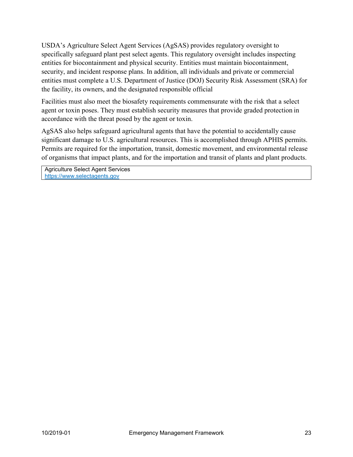USDA's Agriculture Select Agent Services (AgSAS) provides regulatory oversight to specifically safeguard plant pest select agents. This regulatory oversight includes inspecting entities for biocontainment and physical security. Entities must maintain biocontainment, security, and incident response plans. In addition, all individuals and private or commercial entities must complete a U.S. Department of Justice (DOJ) Security Risk Assessment (SRA) for the facility, its owners, and the designated responsible official

Facilities must also meet the biosafety requirements commensurate with the risk that a select agent or toxin poses. They must establish security measures that provide graded protection in accordance with the threat posed by the agent or toxin.

AgSAS also helps safeguard agricultural agents that have the potential to accidentally cause significant damage to U.S. agricultural resources. This is accomplished through APHIS permits. Permits are required for the importation, transit, domestic movement, and environmental release of organisms that impact plants, and for the importation and transit of plants and plant products.

Agriculture Select Agent Services [https://www.selectagents.gov](https://www.selectagents.gov/)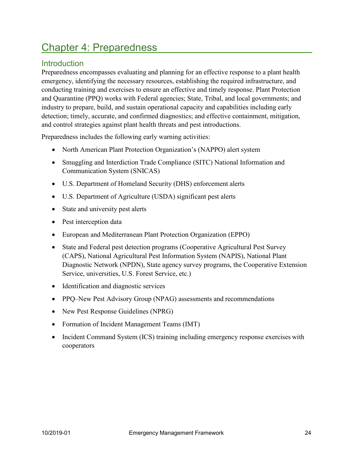## <span id="page-23-0"></span>Chapter 4: Preparedness

#### **Introduction**

Preparedness encompasses evaluating and planning for an effective response to a plant health emergency, identifying the necessary resources, establishing the required infrastructure, and conducting training and exercises to ensure an effective and timely response. Plant Protection and Quarantine (PPQ) works with Federal agencies; State, Tribal, and local governments; and industry to prepare, build, and sustain operational capacity and capabilities including early detection; timely, accurate, and confirmed diagnostics; and effective containment, mitigation, and control strategies against plant health threats and pest introductions.

Preparedness includes the following early warning activities:

- North American Plant Protection Organization's (NAPPO) alert system
- Smuggling and Interdiction Trade Compliance (SITC) National Information and Communication System (SNICAS)
- U.S. Department of Homeland Security (DHS) enforcement alerts
- U.S. Department of Agriculture (USDA) significant pest alerts
- State and university pest alerts
- Pest interception data
- European and Mediterranean Plant Protection Organization (EPPO)
- State and Federal pest detection programs (Cooperative Agricultural Pest Survey (CAPS), National Agricultural Pest Information System (NAPIS), National Plant Diagnostic Network (NPDN), State agency survey programs, the Cooperative Extension Service, universities, U.S. Forest Service, etc.)
- Identification and diagnostic services
- PPQ–New Pest Advisory Group (NPAG) assessments and recommendations
- New Pest Response Guidelines (NPRG)
- Formation of Incident Management Teams (IMT)
- Incident Command System (ICS) training including emergency response exercises with cooperators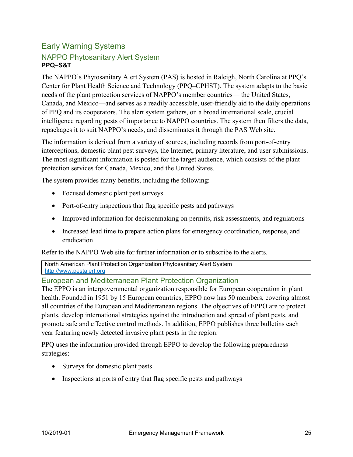#### Early Warning Systems NAPPO Phytosanitary Alert System **PPQ–S&T**

The NAPPO's Phytosanitary Alert System (PAS) is hosted in Raleigh, North Carolina at PPQ's Center for Plant Health Science and Technology (PPQ–CPHST). The system adapts to the basic needs of the plant protection services of NAPPO's member countries— the United States, Canada, and Mexico—and serves as a readily accessible, user-friendly aid to the daily operations of PPQ and its cooperators. The alert system gathers, on a broad international scale, crucial intelligence regarding pests of importance to NAPPO countries. The system then filters the data, repackages it to suit NAPPO's needs, and disseminates it through the PAS Web site.

The information is derived from a variety of sources, including records from port-of-entry interceptions, domestic plant pest surveys, the Internet, primary literature, and user submissions. The most significant information is posted for the target audience, which consists of the plant protection services for Canada, Mexico, and the United States.

The system provides many benefits, including the following:

- Focused domestic plant pest surveys
- Port-of-entry inspections that flag specific pests and pathways
- Improved information for decisionmaking on permits, risk assessments, and regulations
- Increased lead time to prepare action plans for emergency coordination, response, and eradication

Refer to the NAPPO Web site for further information or to subscribe to the alerts.

North American Plant Protection Organization Phytosanitary Alert System [http://www.pestalert.org](http://www.pestalert.org/)

#### European and Mediterranean Plant Protection Organization

The EPPO is an intergovernmental organization responsible for European cooperation in plant health. Founded in 1951 by 15 European countries, EPPO now has 50 members, covering almost all countries of the European and Mediterranean regions. The objectives of EPPO are to protect plants, develop international strategies against the introduction and spread of plant pests, and promote safe and effective control methods. In addition, EPPO publishes three bulletins each year featuring newly detected invasive plant pests in the region.

PPQ uses the information provided through EPPO to develop the following preparedness strategies:

- Surveys for domestic plant pests
- Inspections at ports of entry that flag specific pests and pathways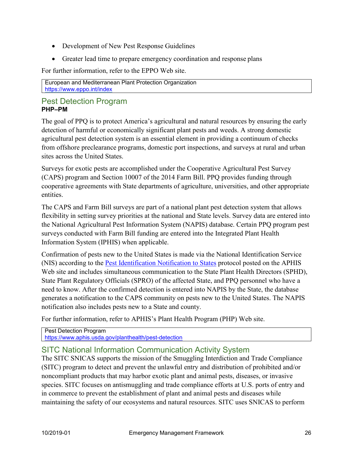- Development of New Pest Response Guidelines
- Greater lead time to prepare emergency coordination and response plans

For further information, refer to the EPPO Web site.

European and Mediterranean Plant Protection Organization <https://www.eppo.int/index>

#### Pest Detection Program **PHP–PM**

The goal of PPQ is to protect America's agricultural and natural resources by ensuring the early detection of harmful or economically significant plant pests and weeds. A strong domestic agricultural pest detection system is an essential element in providing a continuum of checks from offshore preclearance programs, domestic port inspections, and surveys at rural and urban sites across the United States.

Surveys for exotic pests are accomplished under the Cooperative Agricultural Pest Survey (CAPS) program and Section 10007 of the 2014 Farm Bill. PPQ provides funding through cooperative agreements with State departments of agriculture, universities, and other appropriate entities.

The CAPS and Farm Bill surveys are part of a national plant pest detection system that allows flexibility in setting survey priorities at the national and State levels. Survey data are entered into the National Agricultural Pest Information System (NAPIS) database. Certain PPQ program pest surveys conducted with Farm Bill funding are entered into the Integrated Plant Health Information System (IPHIS) when applicable.

Confirmation of pests new to the United States is made via the National Identification Service (NIS) according to the **Pest Identification Notification to States** protocol posted on the APHIS Web site and includes simultaneous communication to the State Plant Health Directors (SPHD), State Plant Regulatory Officials (SPRO) of the affected State, and PPQ personnel who have a need to know. After the confirmed detection is entered into NAPIS by the State, the database generates a notification to the CAPS community on pests new to the United States. The NAPIS notification also includes pests new to a State and county.

For further information, refer to APHIS's Plant Health Program (PHP) Web site.

Pest Detection Program <https://www.aphis.usda.gov/planthealth/pest-detection>

#### SITC National Information Communication Activity System

The SITC SNICAS supports the mission of the Smuggling Interdiction and Trade Compliance (SITC) program to detect and prevent the unlawful entry and distribution of prohibited and/or noncompliant products that may harbor exotic plant and animal pests, diseases, or invasive species. SITC focuses on antismuggling and trade compliance efforts at U.S. ports of entry and in commerce to prevent the establishment of plant and animal pests and diseases while maintaining the safety of our ecosystems and natural resources. SITC uses SNICAS to perform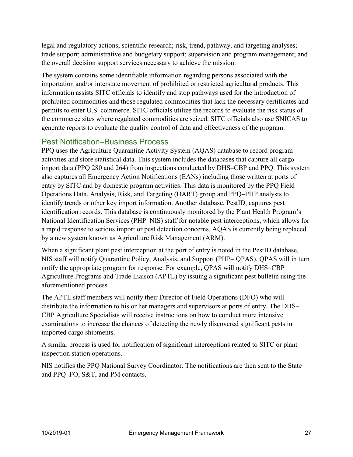legal and regulatory actions; scientific research; risk, trend, pathway, and targeting analyses; trade support; administrative and budgetary support; supervision and program management; and the overall decision support services necessary to achieve the mission.

The system contains some identifiable information regarding persons associated with the importation and/or interstate movement of prohibited or restricted agricultural products. This information assists SITC officials to identify and stop pathways used for the introduction of prohibited commodities and those regulated commodities that lack the necessary certificates and permits to enter U.S. commerce. SITC officials utilize the records to evaluate the risk status of the commerce sites where regulated commodities are seized. SITC officials also use SNICAS to generate reports to evaluate the quality control of data and effectiveness of the program.

#### Pest Notification–Business Process

PPQ uses the Agriculture Quarantine Activity System (AQAS) database to record program activities and store statistical data. This system includes the databases that capture all cargo import data (PPQ 280 and 264) from inspections conducted by DHS–CBP and PPQ. This system also captures all Emergency Action Notifications (EANs) including those written at ports of entry by SITC and by domestic program activities. This data is monitored by the PPQ Field Operations Data, Analysis, Risk, and Targeting (DART) group and PPQ–PHP analysts to identify trends or other key import information. Another database, PestID, captures pest identification records. This database is continuously monitored by the Plant Health Program's National Identification Services (PHP–NIS) staff for notable pest interceptions, which allows for a rapid response to serious import or pest detection concerns. AQAS is currently being replaced by a new system known as Agriculture Risk Management (ARM).

When a significant plant pest interception at the port of entry is noted in the PestID database, NIS staff will notify Quarantine Policy, Analysis, and Support (PHP– QPAS). QPAS will in turn notify the appropriate program for response. For example, QPAS will notify DHS–CBP Agriculture Programs and Trade Liaison (APTL) by issuing a significant pest bulletin using the aforementioned process.

The APTL staff members will notify their Director of Field Operations (DFO) who will distribute the information to his or her managers and supervisors at ports of entry. The DHS– CBP Agriculture Specialists will receive instructions on how to conduct more intensive examinations to increase the chances of detecting the newly discovered significant pests in imported cargo shipments.

A similar process is used for notification of significant interceptions related to SITC or plant inspection station operations.

NIS notifies the PPQ National Survey Coordinator. The notifications are then sent to the State and PPQ–FO, S&T, and PM contacts.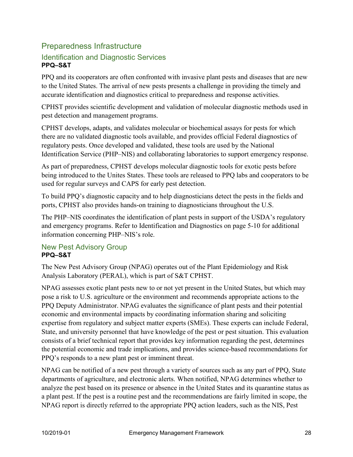#### Preparedness Infrastructure Identification and Diagnostic Services **PPQ–S&T**

PPQ and its cooperators are often confronted with invasive plant pests and diseases that are new to the United States. The arrival of new pests presents a challenge in providing the timely and accurate identification and diagnostics critical to preparedness and response activities.

CPHST provides scientific development and validation of molecular diagnostic methods used in pest detection and management programs.

CPHST develops, adapts, and validates molecular or biochemical assays for pests for which there are no validated diagnostic tools available, and provides official Federal diagnostics of regulatory pests. Once developed and validated, these tools are used by the National Identification Service (PHP–NIS) and collaborating laboratories to support emergency response.

As part of preparedness, CPHST develops molecular diagnostic tools for exotic pests before being introduced to the Unites States. These tools are released to PPQ labs and cooperators to be used for regular surveys and CAPS for early pest detection.

To build PPQ's diagnostic capacity and to help diagnosticians detect the pests in the fields and ports, CPHST also provides hands-on training to diagnosticians throughout the U.S.

The PHP–NIS coordinates the identification of plant pests in support of the USDA's regulatory and emergency programs. Refer to Identification and Diagnostics on page 5-10 for additional information concerning PHP–NIS's role.

#### New Pest Advisory Group **PPQ–S&T**

The New Pest Advisory Group (NPAG) operates out of the Plant Epidemiology and Risk Analysis Laboratory (PERAL), which is part of S&T CPHST.

NPAG assesses exotic plant pests new to or not yet present in the United States, but which may pose a risk to U.S. agriculture or the environment and recommends appropriate actions to the PPQ Deputy Administrator. NPAG evaluates the significance of plant pests and their potential economic and environmental impacts by coordinating information sharing and soliciting expertise from regulatory and subject matter experts (SMEs). These experts can include Federal, State, and university personnel that have knowledge of the pest or pest situation. This evaluation consists of a brief technical report that provides key information regarding the pest, determines the potential economic and trade implications, and provides science-based recommendations for PPQ's responds to a new plant pest or imminent threat.

NPAG can be notified of a new pest through a variety of sources such as any part of PPQ, State departments of agriculture, and electronic alerts. When notified, NPAG determines whether to analyze the pest based on its presence or absence in the United States and its quarantine status as a plant pest. If the pest is a routine pest and the recommendations are fairly limited in scope, the NPAG report is directly referred to the appropriate PPQ action leaders, such as the NIS, Pest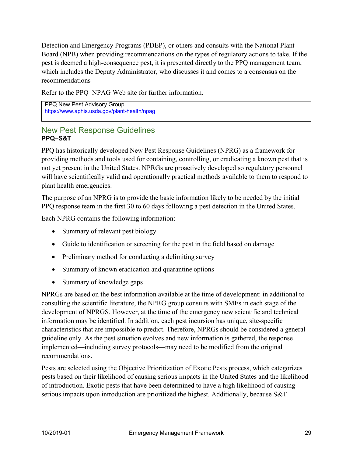Detection and Emergency Programs (PDEP), or others and consults with the National Plant Board (NPB) when providing recommendations on the types of regulatory actions to take. If the pest is deemed a high-consequence pest, it is presented directly to the PPQ management team, which includes the Deputy Administrator, who discusses it and comes to a consensus on the recommendations

Refer to the PPQ–NPAG Web site for further information.

PPQ New Pest Advisory Group <https://www.aphis.usda.gov/plant-health/npag>

#### New Pest Response Guidelines **PPQ–S&T**

PPQ has historically developed New Pest Response Guidelines (NPRG) as a framework for providing methods and tools used for containing, controlling, or eradicating a known pest that is not yet present in the United States. NPRGs are proactively developed so regulatory personnel will have scientifically valid and operationally practical methods available to them to respond to plant health emergencies.

The purpose of an NPRG is to provide the basic information likely to be needed by the initial PPQ response team in the first 30 to 60 days following a pest detection in the United States.

Each NPRG contains the following information:

- Summary of relevant pest biology
- Guide to identification or screening for the pest in the field based on damage
- Preliminary method for conducting a delimiting survey
- Summary of known eradication and quarantine options
- Summary of knowledge gaps

NPRGs are based on the best information available at the time of development: in additional to consulting the scientific literature, the NPRG group consults with SMEs in each stage of the development of NPRGS. However, at the time of the emergency new scientific and technical information may be identified. In addition, each pest incursion has unique, site-specific characteristics that are impossible to predict. Therefore, NPRGs should be considered a general guideline only. As the pest situation evolves and new information is gathered, the response implemented—including survey protocols—may need to be modified from the original recommendations.

Pests are selected using the Objective Prioritization of Exotic Pests process, which categorizes pests based on their likelihood of causing serious impacts in the United States and the likelihood of introduction. Exotic pests that have been determined to have a high likelihood of causing serious impacts upon introduction are prioritized the highest. Additionally, because S&T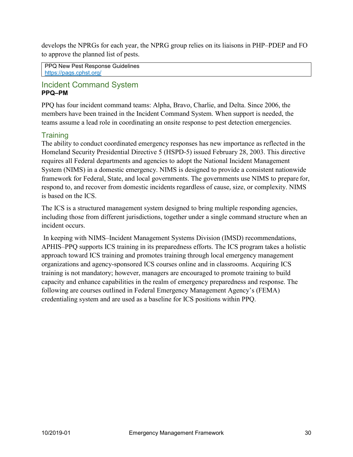develops the NPRGs for each year, the NPRG group relies on its liaisons in PHP–PDEP and FO to approve the planned list of pests.

PPQ New Pest Response Guidelines <https://pags.cphst.org/>

#### Incident Command System **PPQ–PM**

PPQ has four incident command teams: Alpha, Bravo, Charlie, and Delta. Since 2006, the members have been trained in the Incident Command System. When support is needed, the teams assume a lead role in coordinating an onsite response to pest detection emergencies.

#### **Training**

The ability to conduct coordinated emergency responses has new importance as reflected in the Homeland Security Presidential Directive 5 (HSPD-5) issued February 28, 2003. This directive requires all Federal departments and agencies to adopt the National Incident Management System (NIMS) in a domestic emergency. NIMS is designed to provide a consistent nationwide framework for Federal, State, and local governments. The governments use NIMS to prepare for, respond to, and recover from domestic incidents regardless of cause, size, or complexity. NIMS is based on the ICS.

The ICS is a structured management system designed to bring multiple responding agencies, including those from different jurisdictions, together under a single command structure when an incident occurs.

In keeping with NIMS–Incident Management Systems Division (IMSD) recommendations, APHIS–PPQ supports ICS training in its preparedness efforts. The ICS program takes a holistic approach toward ICS training and promotes training through local emergency management organizations and agency-sponsored ICS courses online and in classrooms. Acquiring ICS training is not mandatory; however, managers are encouraged to promote training to build capacity and enhance capabilities in the realm of emergency preparedness and response. The following are courses outlined in Federal Emergency Management Agency's (FEMA) credentialing system and are used as a baseline for ICS positions within PPQ.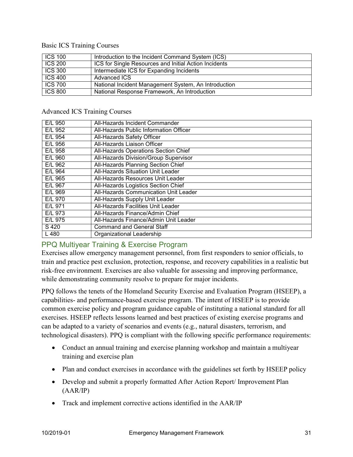#### Basic ICS Training Courses

| $ICS$ 100           | Introduction to the Incident Command System (ICS)            |
|---------------------|--------------------------------------------------------------|
| <b>ICS 200</b>      | <b>ICS for Single Resources and Initial Action Incidents</b> |
| <b>ICS 300</b>      | Intermediate ICS for Expanding Incidents                     |
| $\overline{CC}$ 400 | Advanced ICS                                                 |
| <b>ICS 700</b>      | National Incident Management System, An Introduction         |
| <b>ICS 800</b>      | National Response Framework, An Introduction                 |

#### Advanced ICS Training Courses

| E/L 950   | All-Hazards Incident Commander               |
|-----------|----------------------------------------------|
| E/L 952   | All-Hazards Public Information Officer       |
| E/L 954   | All-Hazards Safety Officer                   |
| E/L 956   | All-Hazards Liaison Officer                  |
| E/L 958   | All-Hazards Operations Section Chief         |
| E/L 960   | All-Hazards Division/Group Supervisor        |
| $E/L$ 962 | <b>All-Hazards Planning Section Chief</b>    |
| $E/L$ 964 | <b>All-Hazards Situation Unit Leader</b>     |
| E/L 965   | All-Hazards Resources Unit Leader            |
| E/L 967   | All-Hazards Logistics Section Chief          |
| E/L 969   | <b>All-Hazards Communication Unit Leader</b> |
| E/L 970   | All-Hazards Supply Unit Leader               |
| E/L 971   | <b>All-Hazards Facilities Unit Leader</b>    |
| $E/L$ 973 | All-Hazards Finance/Admin Chief              |
| $E/L$ 975 | All-Hazards Finance/Admin Unit Leader        |
| $S$ 420   | <b>Command and General Staff</b>             |
| L 480     | Organizational Leadership                    |

#### PPQ Multiyear Training & Exercise Program

Exercises allow emergency management personnel, from first responders to senior officials, to train and practice pest exclusion, protection, response, and recovery capabilities in a realistic but risk-free environment. Exercises are also valuable for assessing and improving performance, while demonstrating community resolve to prepare for major incidents.

PPQ follows the tenets of the Homeland Security Exercise and Evaluation Program (HSEEP), a capabilities- and performance-based exercise program. The intent of HSEEP is to provide common exercise policy and program guidance capable of instituting a national standard for all exercises. HSEEP reflects lessons learned and best practices of existing exercise programs and can be adapted to a variety of scenarios and events (e.g., natural disasters, terrorism, and technological disasters). PPQ is compliant with the following specific performance requirements:

- Conduct an annual training and exercise planning workshop and maintain a multiyear training and exercise plan
- Plan and conduct exercises in accordance with the guidelines set forth by HSEEP policy
- Develop and submit a properly formatted After Action Report/ Improvement Plan (AAR/IP)
- Track and implement corrective actions identified in the AAR/IP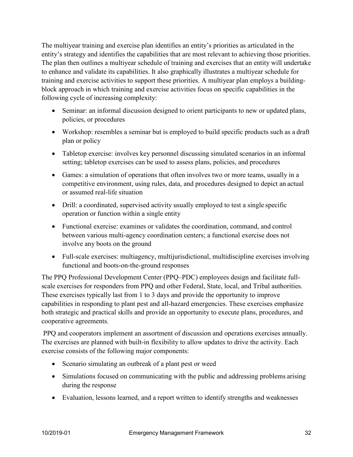The multiyear training and exercise plan identifies an entity's priorities as articulated in the entity's strategy and identifies the capabilities that are most relevant to achieving those priorities. The plan then outlines a multiyear schedule of training and exercises that an entity will undertake to enhance and validate its capabilities. It also graphically illustrates a multiyear schedule for training and exercise activities to support these priorities. A multiyear plan employs a buildingblock approach in which training and exercise activities focus on specific capabilities in the following cycle of increasing complexity:

- Seminar: an informal discussion designed to orient participants to new or updated plans, policies, or procedures
- Workshop: resembles a seminar but is employed to build specific products such as a draft plan or policy
- Tabletop exercise: involves key personnel discussing simulated scenarios in an informal setting; tabletop exercises can be used to assess plans, policies, and procedures
- Games: a simulation of operations that often involves two or more teams, usually in a competitive environment, using rules, data, and procedures designed to depict an actual or assumed real-life situation
- Drill: a coordinated, supervised activity usually employed to test a single specific operation or function within a single entity
- Functional exercise: examines or validates the coordination, command, and control between various multi-agency coordination centers; a functional exercise does not involve any boots on the ground
- Full-scale exercises: multiagency, multijurisdictional, multidiscipline exercises involving functional and boots-on-the-ground responses

The PPQ Professional Development Center (PPQ–PDC) employees design and facilitate fullscale exercises for responders from PPQ and other Federal, State, local, and Tribal authorities. These exercises typically last from 1 to 3 days and provide the opportunity to improve capabilities in responding to plant pest and all-hazard emergencies. These exercises emphasize both strategic and practical skills and provide an opportunity to execute plans, procedures, and cooperative agreements.

PPQ and cooperators implement an assortment of discussion and operations exercises annually. The exercises are planned with built-in flexibility to allow updates to drive the activity. Each exercise consists of the following major components:

- Scenario simulating an outbreak of a plant pest or weed
- Simulations focused on communicating with the public and addressing problems arising during the response
- Evaluation, lessons learned, and a report written to identify strengths and weaknesses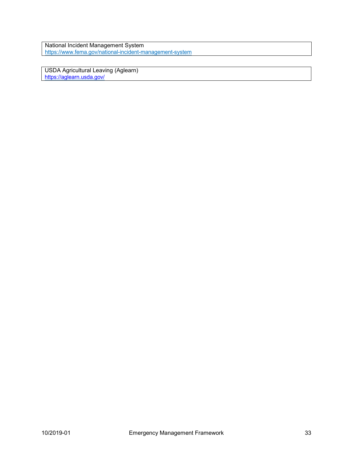National Incident Management System <https://www.fema.gov/national-incident-management-system>

USDA Agricultural Leaving (Aglearn) <https://aglearn.usda.gov/>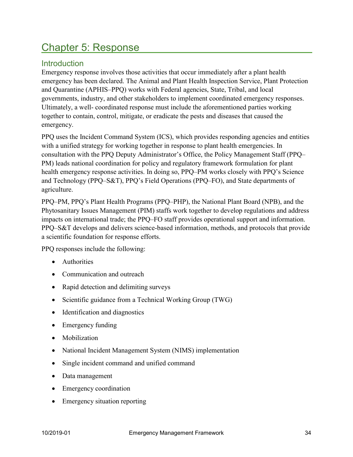## <span id="page-33-0"></span>Chapter 5: Response

#### **Introduction**

Emergency response involves those activities that occur immediately after a plant health emergency has been declared. The Animal and Plant Health Inspection Service, Plant Protection and Quarantine (APHIS–PPQ) works with Federal agencies, State, Tribal, and local governments, industry, and other stakeholders to implement coordinated emergency responses. Ultimately, a well- coordinated response must include the aforementioned parties working together to contain, control, mitigate, or eradicate the pests and diseases that caused the emergency.

PPQ uses the Incident Command System (ICS), which provides responding agencies and entities with a unified strategy for working together in response to plant health emergencies. In consultation with the PPQ Deputy Administrator's Office, the Policy Management Staff (PPQ– PM) leads national coordination for policy and regulatory framework formulation for plant health emergency response activities. In doing so, PPQ–PM works closely with PPQ's Science and Technology (PPQ–S&T), PPQ's Field Operations (PPQ–FO), and State departments of agriculture.

PPQ–PM, PPQ's Plant Health Programs (PPQ–PHP), the National Plant Board (NPB), and the Phytosanitary Issues Management (PIM) staffs work together to develop regulations and address impacts on international trade; the PPQ–FO staff provides operational support and information. PPQ–S&T develops and delivers science-based information, methods, and protocols that provide a scientific foundation for response efforts.

PPQ responses include the following:

- Authorities
- Communication and outreach
- Rapid detection and delimiting surveys
- Scientific guidance from a Technical Working Group (TWG)
- Identification and diagnostics
- Emergency funding
- Mobilization
- National Incident Management System (NIMS) implementation
- Single incident command and unified command
- Data management
- Emergency coordination
- Emergency situation reporting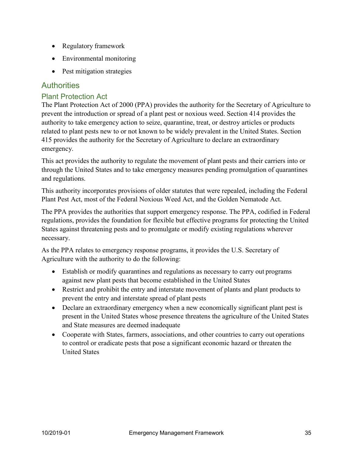- Regulatory framework
- Environmental monitoring
- Pest mitigation strategies

#### **Authorities**

#### Plant Protection Act

The Plant Protection Act of 2000 (PPA) provides the authority for the Secretary of Agriculture to prevent the introduction or spread of a plant pest or noxious weed. Section 414 provides the authority to take emergency action to seize, quarantine, treat, or destroy articles or products related to plant pests new to or not known to be widely prevalent in the United States. Section 415 provides the authority for the Secretary of Agriculture to declare an extraordinary emergency.

This act provides the authority to regulate the movement of plant pests and their carriers into or through the United States and to take emergency measures pending promulgation of quarantines and regulations.

This authority incorporates provisions of older statutes that were repealed, including the Federal Plant Pest Act, most of the Federal Noxious Weed Act, and the Golden Nematode Act.

The PPA provides the authorities that support emergency response. The PPA, codified in Federal regulations, provides the foundation for flexible but effective programs for protecting the United States against threatening pests and to promulgate or modify existing regulations wherever necessary.

As the PPA relates to emergency response programs, it provides the U.S. Secretary of Agriculture with the authority to do the following:

- Establish or modify quarantines and regulations as necessary to carry out programs against new plant pests that become established in the United States
- Restrict and prohibit the entry and interstate movement of plants and plant products to prevent the entry and interstate spread of plant pests
- Declare an extraordinary emergency when a new economically significant plant pest is present in the United States whose presence threatens the agriculture of the United States and State measures are deemed inadequate
- Cooperate with States, farmers, associations, and other countries to carry out operations to control or eradicate pests that pose a significant economic hazard or threaten the United States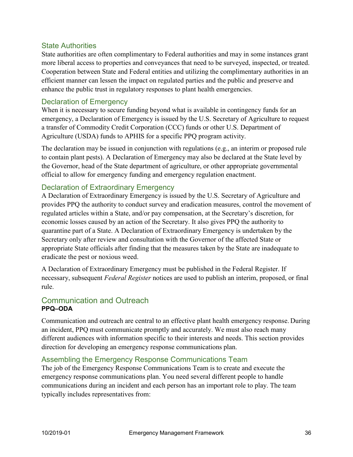#### State Authorities

State authorities are often complimentary to Federal authorities and may in some instances grant more liberal access to properties and conveyances that need to be surveyed, inspected, or treated. Cooperation between State and Federal entities and utilizing the complimentary authorities in an efficient manner can lessen the impact on regulated parties and the public and preserve and enhance the public trust in regulatory responses to plant health emergencies.

#### Declaration of Emergency

When it is necessary to secure funding beyond what is available in contingency funds for an emergency, a Declaration of Emergency is issued by the U.S. Secretary of Agriculture to request a transfer of Commodity Credit Corporation (CCC) funds or other U.S. Department of Agriculture (USDA) funds to APHIS for a specific PPQ program activity.

The declaration may be issued in conjunction with regulations (e.g., an interim or proposed rule to contain plant pests). A Declaration of Emergency may also be declared at the State level by the Governor, head of the State department of agriculture, or other appropriate governmental official to allow for emergency funding and emergency regulation enactment.

#### Declaration of Extraordinary Emergency

A Declaration of Extraordinary Emergency is issued by the U.S. Secretary of Agriculture and provides PPQ the authority to conduct survey and eradication measures, control the movement of regulated articles within a State, and/or pay compensation, at the Secretary's discretion, for economic losses caused by an action of the Secretary. It also gives PPQ the authority to quarantine part of a State. A Declaration of Extraordinary Emergency is undertaken by the Secretary only after review and consultation with the Governor of the affected State or appropriate State officials after finding that the measures taken by the State are inadequate to eradicate the pest or noxious weed.

A Declaration of Extraordinary Emergency must be published in the Federal Register. If necessary, subsequent *Federal Register* notices are used to publish an interim, proposed, or final rule.

#### Communication and Outreach **PPQ–ODA**

Communication and outreach are central to an effective plant health emergency response. During an incident, PPQ must communicate promptly and accurately. We must also reach many different audiences with information specific to their interests and needs. This section provides direction for developing an emergency response communications plan.

#### Assembling the Emergency Response Communications Team

The job of the Emergency Response Communications Team is to create and execute the emergency response communications plan. You need several different people to handle communications during an incident and each person has an important role to play. The team typically includes representatives from: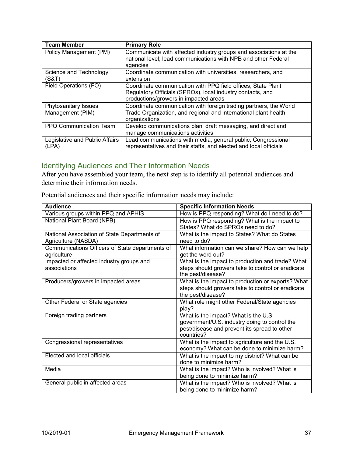| <b>Team Member</b>                       | <b>Primary Role</b>                                                                                                                                                 |
|------------------------------------------|---------------------------------------------------------------------------------------------------------------------------------------------------------------------|
| Policy Management (PM)                   | Communicate with affected industry groups and associations at the<br>national level; lead communications with NPB and other Federal<br>agencies                     |
| Science and Technology<br>(S&T)          | Coordinate communication with universities, researchers, and<br>extension                                                                                           |
| Field Operations (FO)                    | Coordinate communication with PPQ field offices, State Plant<br>Regulatory Officials (SPROs), local industry contacts, and<br>productions/growers in impacted areas |
| Phytosanitary Issues<br>Management (PIM) | Coordinate communication with foreign trading partners, the World<br>Trade Organization, and regional and international plant health<br>organizations               |
| PPQ Communication Team                   | Develop communications plan, draft messaging, and direct and<br>manage communications activities                                                                    |
| Legislative and Public Affairs<br>(LPA)  | Lead communications with media, general public, Congressional<br>representatives and their staffs, and elected and local officials                                  |

# Identifying Audiences and Their Information Needs

After you have assembled your team, the next step is to identify all potential audiences and determine their information needs.

Potential audiences and their specific information needs may include:

| <b>Audience</b>                                 | <b>Specific Information Needs</b>                 |
|-------------------------------------------------|---------------------------------------------------|
| Various groups within PPQ and APHIS             | How is PPQ responding? What do I need to do?      |
| National Plant Board (NPB)                      | How is PPQ responding? What is the impact to      |
|                                                 | States? What do SPROs need to do?                 |
| National Association of State Departments of    | What is the impact to States? What do States      |
| Agriculture (NASDA)                             | need to do?                                       |
| Communications Officers of State departments of | What information can we share? How can we help    |
| agriculture                                     | get the word out?                                 |
| Impacted or affected industry groups and        | What is the impact to production and trade? What  |
| associations                                    | steps should growers take to control or eradicate |
|                                                 | the pest/disease?                                 |
| Producers/growers in impacted areas             | What is the impact to production or exports? What |
|                                                 | steps should growers take to control or eradicate |
|                                                 | the pest/disease?                                 |
| Other Federal or State agencies                 | What role might other Federal/State agencies      |
|                                                 | play?                                             |
| Foreign trading partners                        | What is the impact? What is the U.S.              |
|                                                 | government/U.S. industry doing to control the     |
|                                                 | pest/disease and prevent its spread to other      |
|                                                 | countries?                                        |
| Congressional representatives                   | What is the impact to agriculture and the U.S.    |
|                                                 | economy? What can be done to minimize harm?       |
| Elected and local officials                     | What is the impact to my district? What can be    |
|                                                 | done to minimize harm?                            |
| Media                                           | What is the impact? Who is involved? What is      |
|                                                 | being done to minimize harm?                      |
| General public in affected areas                | What is the impact? Who is involved? What is      |
|                                                 | being done to minimize harm?                      |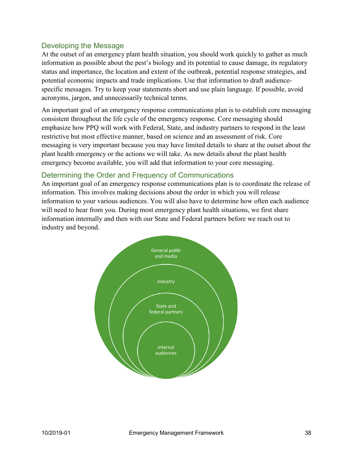#### Developing the Message

At the outset of an emergency plant health situation, you should work quickly to gather as much information as possible about the pest's biology and its potential to cause damage, its regulatory status and importance, the location and extent of the outbreak, potential response strategies, and potential economic impacts and trade implications. Use that information to draft audiencespecific messages. Try to keep your statements short and use plain language. If possible, avoid acronyms, jargon, and unnecessarily technical terms.

An important goal of an emergency response communications plan is to establish core messaging consistent throughout the life cycle of the emergency response. Core messaging should emphasize how PPQ will work with Federal, State, and industry partners to respond in the least restrictive but most effective manner, based on science and an assessment of risk. Core messaging is very important because you may have limited details to share at the outset about the plant health emergency or the actions we will take. As new details about the plant health emergency become available, you will add that information to your core messaging.

#### Determining the Order and Frequency of Communications

An important goal of an emergency response communications plan is to coordinate the release of information. This involves making decisions about the order in which you will release information to your various audiences. You will also have to determine how often each audience will need to hear from you. During most emergency plant health situations, we first share information internally and then with our State and Federal partners before we reach out to industry and beyond.

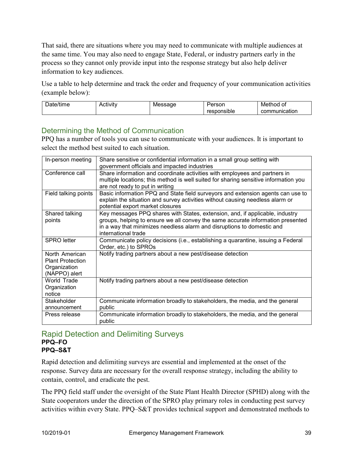That said, there are situations where you may need to communicate with multiple audiences at the same time. You may also need to engage State, Federal, or industry partners early in the process so they cannot only provide input into the response strategy but also help deliver information to key audiences.

Use a table to help determine and track the order and frequency of your communication activities (example below):

| - | ັ |     | - -<br>w<br>U |
|---|---|-----|---------------|
|   |   | ,,, | - - --        |

# Determining the Method of Communication

PPQ has a number of tools you can use to communicate with your audiences. It is important to select the method best suited to each situation.

| In-person meeting       | Share sensitive or confidential information in a small group setting with            |
|-------------------------|--------------------------------------------------------------------------------------|
|                         | government officials and impacted industries                                         |
| Conference call         | Share information and coordinate activities with employees and partners in           |
|                         | multiple locations; this method is well suited for sharing sensitive information you |
|                         | are not ready to put in writing                                                      |
| Field talking points    | Basic information PPQ and State field surveyors and extension agents can use to      |
|                         | explain the situation and survey activities without causing needless alarm or        |
|                         | potential export market closures                                                     |
| Shared talking          | Key messages PPQ shares with States, extension, and, if applicable, industry         |
| points                  | groups, helping to ensure we all convey the same accurate information presented      |
|                         | in a way that minimizes needless alarm and disruptions to domestic and               |
|                         | international trade                                                                  |
| <b>SPRO</b> letter      | Communicate policy decisions (i.e., establishing a quarantine, issuing a Federal     |
|                         | Order, etc.) to SPROs                                                                |
| North American          | Notify trading partners about a new pest/disease detection                           |
| <b>Plant Protection</b> |                                                                                      |
| Organization            |                                                                                      |
| (NAPPO) alert           |                                                                                      |
| World Trade             | Notify trading partners about a new pest/disease detection                           |
| Organization            |                                                                                      |
| notice                  |                                                                                      |
| Stakeholder             | Communicate information broadly to stakeholders, the media, and the general          |
| announcement            | public                                                                               |
| Press release           | Communicate information broadly to stakeholders, the media, and the general          |
|                         | public                                                                               |

#### Rapid Detection and Delimiting Surveys **PPQ–FO PPQ–S&T**

Rapid detection and delimiting surveys are essential and implemented at the onset of the response. Survey data are necessary for the overall response strategy, including the ability to contain, control, and eradicate the pest.

The PPQ field staff under the oversight of the State Plant Health Director (SPHD) along with the State cooperators under the direction of the SPRO play primary roles in conducting pest survey activities within every State. PPQ–S&T provides technical support and demonstrated methods to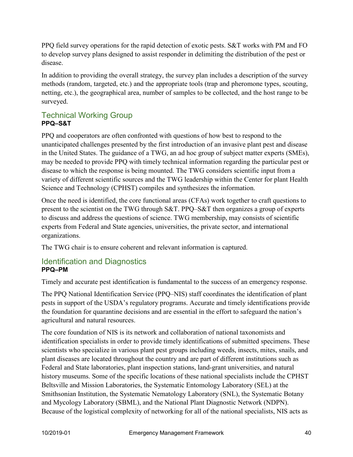PPQ field survey operations for the rapid detection of exotic pests. S&T works with PM and FO to develop survey plans designed to assist responder in delimiting the distribution of the pest or disease.

In addition to providing the overall strategy, the survey plan includes a description of the survey methods (random, targeted, etc.) and the appropriate tools (trap and pheromone types, scouting, netting, etc.), the geographical area, number of samples to be collected, and the host range to be surveyed.

# Technical Working Group **PPQ–S&T**

PPQ and cooperators are often confronted with questions of how best to respond to the unanticipated challenges presented by the first introduction of an invasive plant pest and disease in the United States. The guidance of a TWG, an ad hoc group of subject matter experts (SMEs), may be needed to provide PPQ with timely technical information regarding the particular pest or disease to which the response is being mounted. The TWG considers scientific input from a variety of different scientific sources and the TWG leadership within the Center for plant Health Science and Technology (CPHST) compiles and synthesizes the information.

Once the need is identified, the core functional areas (CFAs) work together to craft questions to present to the scientist on the TWG through S&T. PPQ–S&T then organizes a group of experts to discuss and address the questions of science. TWG membership, may consists of scientific experts from Federal and State agencies, universities, the private sector, and international organizations.

The TWG chair is to ensure coherent and relevant information is captured.

#### Identification and Diagnostics **PPQ–PM**

Timely and accurate pest identification is fundamental to the success of an emergency response.

The PPQ National Identification Service (PPQ–NIS) staff coordinates the identification of plant pests in support of the USDA's regulatory programs. Accurate and timely identifications provide the foundation for quarantine decisions and are essential in the effort to safeguard the nation's agricultural and natural resources.

The core foundation of NIS is its network and collaboration of national taxonomists and identification specialists in order to provide timely identifications of submitted specimens. These scientists who specialize in various plant pest groups including weeds, insects, mites, snails, and plant diseases are located throughout the country and are part of different institutions such as Federal and State laboratories, plant inspection stations, land-grant universities, and natural history museums. Some of the specific locations of these national specialists include the CPHST Beltsville and Mission Laboratories, the Systematic Entomology Laboratory (SEL) at the Smithsonian Institution, the Systematic Nematology Laboratory (SNL), the Systematic Botany and Mycology Laboratory (SBML), and the National Plant Diagnostic Network (NDPN). Because of the logistical complexity of networking for all of the national specialists, NIS acts as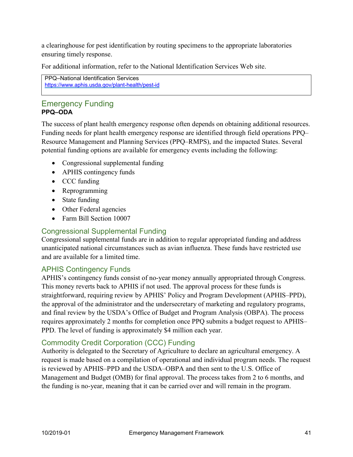a clearinghouse for pest identification by routing specimens to the appropriate laboratories ensuring timely response.

For additional information, refer to the National Identification Services Web site.

```
PPQ–National Identification Services 
https://www.aphis.usda.gov/plant-health/pest-id
```
# Emergency Funding **PPQ–ODA**

The success of plant health emergency response often depends on obtaining additional resources. Funding needs for plant health emergency response are identified through field operations PPQ– Resource Management and Planning Services (PPQ–RMPS), and the impacted States. Several potential funding options are available for emergency events including the following:

- Congressional supplemental funding
- APHIS contingency funds
- CCC funding
- Reprogramming
- State funding
- Other Federal agencies
- Farm Bill Section 10007

# Congressional Supplemental Funding

Congressional supplemental funds are in addition to regular appropriated funding and address unanticipated national circumstances such as avian influenza. These funds have restricted use and are available for a limited time.

# APHIS Contingency Funds

APHIS's contingency funds consist of no-year money annually appropriated through Congress. This money reverts back to APHIS if not used. The approval process for these funds is straightforward, requiring review by APHIS' Policy and Program Development (APHIS–PPD), the approval of the administrator and the undersecretary of marketing and regulatory programs, and final review by the USDA's Office of Budget and Program Analysis (OBPA). The process requires approximately 2 months for completion once PPQ submits a budget request to APHIS– PPD. The level of funding is approximately \$4 million each year.

## Commodity Credit Corporation (CCC) Funding

Authority is delegated to the Secretary of Agriculture to declare an agricultural emergency. A request is made based on a compilation of operational and individual program needs. The request is reviewed by APHIS–PPD and the USDA–OBPA and then sent to the U.S. Office of Management and Budget (OMB) for final approval. The process takes from 2 to 6 months, and the funding is no-year, meaning that it can be carried over and will remain in the program.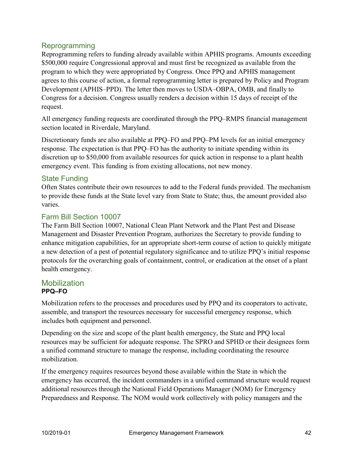#### Reprogramming

Reprogramming refers to funding already available within APHIS programs. Amounts exceeding \$500,000 require Congressional approval and must first be recognized as available from the program to which they were appropriated by Congress. Once PPQ and APHIS management agrees to this course of action, a formal reprogramming letter is prepared by Policy and Program Development (APHIS–PPD). The letter then moves to USDA–OBPA, OMB, and finally to Congress for a decision. Congress usually renders a decision within 15 days of receipt of the request.

All emergency funding requests are coordinated through the PPQ–RMPS financial management section located in Riverdale, Maryland.

Discretionary funds are also available at PPQ–FO and PPQ–PM levels for an initial emergency response. The expectation is that PPQ–FO has the authority to initiate spending within its discretion up to \$50,000 from available resources for quick action in response to a plant health emergency event. This funding is from existing allocations, not new money.

## State Funding

Often States contribute their own resources to add to the Federal funds provided. The mechanism to provide these funds at the State level vary from State to State; thus, the amount provided also varies.

#### Farm Bill Section 10007

The Farm Bill Section 10007, National Clean Plant Network and the Plant Pest and Disease Management and Disaster Prevention Program, authorizes the Secretary to provide funding to enhance mitigation capabilities, for an appropriate short-term course of action to quickly mitigate a new detection of a pest of potential regulatory significance and to utilize PPQ's initial response protocols for the overarching goals of containment, control, or eradication at the onset of a plant health emergency.

#### Mobilization **PPQ–FO**

Mobilization refers to the processes and procedures used by PPQ and its cooperators to activate, assemble, and transport the resources necessary for successful emergency response, which includes both equipment and personnel.

Depending on the size and scope of the plant health emergency, the State and PPQ local resources may be sufficient for adequate response. The SPRO and SPHD or their designees form a unified command structure to manage the response, including coordinating the resource mobilization.

If the emergency requires resources beyond those available within the State in which the emergency has occurred, the incident commanders in a unified command structure would request additional resources through the National Field Operations Manager (NOM) for Emergency Preparedness and Response. The NOM would work collectively with policy managers and the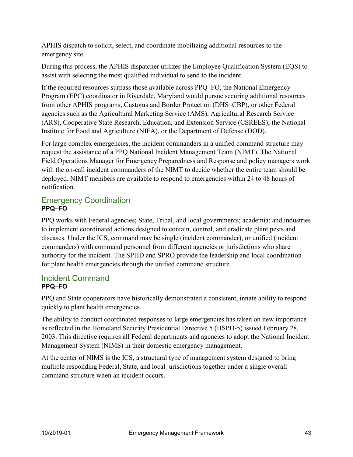APHIS dispatch to solicit, select, and coordinate mobilizing additional resources to the emergency site.

During this process, the APHIS dispatcher utilizes the Employee Qualification System (EQS) to assist with selecting the most qualified individual to send to the incident.

If the required resources surpass those available across PPQ–FO, the National Emergency Program (EPC) coordinator in Riverdale, Maryland would pursue securing additional resources from other APHIS programs, Customs and Border Protection (DHS–CBP), or other Federal agencies such as the Agricultural Marketing Service (AMS), Agricultural Research Service (ARS), Cooperative State Research, Education, and Extension Service (CSREES); the National Institute for Food and Agriculture (NIFA), or the Department of Defense (DOD).

For large complex emergencies, the incident commanders in a unified command structure may request the assistance of a PPQ National Incident Management Team (NIMT). The National Field Operations Manager for Emergency Preparedness and Response and policy managers work with the on-call incident commanders of the NIMT to decide whether the entire team should be deployed. NIMT members are available to respond to emergencies within 24 to 48 hours of notification.

# Emergency Coordination **PPQ–FO**

PPQ works with Federal agencies; State, Tribal, and local governments; academia; and industries to implement coordinated actions designed to contain, control, and eradicate plant pests and diseases. Under the ICS, command may be single (incident commander), or unified (incident commanders) with command personnel from different agencies or jurisdictions who share authority for the incident. The SPHD and SPRO provide the leadership and local coordination for plant health emergencies through the unified command structure.

# Incident Command **PPQ–FO**

PPQ and State cooperators have historically demonstrated a consistent, innate ability to respond quickly to plant health emergencies.

The ability to conduct coordinated responses to large emergencies has taken on new importance as reflected in the Homeland Security Presidential Directive 5 (HSPD-5) issued February 28, 2003. This directive requires all Federal departments and agencies to adopt the National Incident Management System (NIMS) in their domestic emergency management.

At the center of NIMS is the ICS, a structural type of management system designed to bring multiple responding Federal, State, and local jurisdictions together under a single overall command structure when an incident occurs.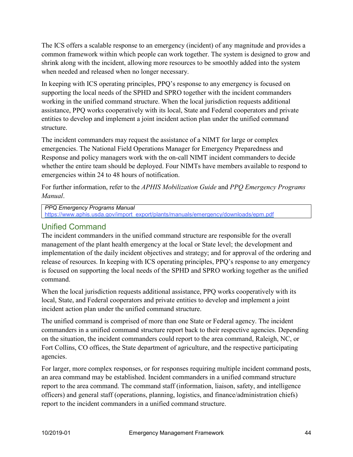The ICS offers a scalable response to an emergency (incident) of any magnitude and provides a common framework within which people can work together. The system is designed to grow and shrink along with the incident, allowing more resources to be smoothly added into the system when needed and released when no longer necessary.

In keeping with ICS operating principles, PPQ's response to any emergency is focused on supporting the local needs of the SPHD and SPRO together with the incident commanders working in the unified command structure. When the local jurisdiction requests additional assistance, PPQ works cooperatively with its local, State and Federal cooperators and private entities to develop and implement a joint incident action plan under the unified command structure.

The incident commanders may request the assistance of a NIMT for large or complex emergencies. The National Field Operations Manager for Emergency Preparedness and Response and policy managers work with the on-call NIMT incident commanders to decide whether the entire team should be deployed. Four NIMTs have members available to respond to emergencies within 24 to 48 hours of notification.

For further information, refer to the *APHIS Mobilization Guide* and *PPQ Emergency Programs Manual*.

#### *PPQ Emergency Programs Manual*

[https://www.aphis.usda.gov/import\\_export/plants/manuals/emergency/downloads/epm.pdf](https://www.aphis.usda.gov/import_export/plants/manuals/emergency/downloads/epm.pdf)

## Unified Command

The incident commanders in the unified command structure are responsible for the overall management of the plant health emergency at the local or State level; the development and implementation of the daily incident objectives and strategy; and for approval of the ordering and release of resources. In keeping with ICS operating principles, PPQ's response to any emergency is focused on supporting the local needs of the SPHD and SPRO working together as the unified command.

When the local jurisdiction requests additional assistance, PPQ works cooperatively with its local, State, and Federal cooperators and private entities to develop and implement a joint incident action plan under the unified command structure.

The unified command is comprised of more than one State or Federal agency. The incident commanders in a unified command structure report back to their respective agencies. Depending on the situation, the incident commanders could report to the area command, Raleigh, NC, or Fort Collins, CO offices, the State department of agriculture, and the respective participating agencies.

For larger, more complex responses, or for responses requiring multiple incident command posts, an area command may be established. Incident commanders in a unified command structure report to the area command. The command staff (information, liaison, safety, and intelligence officers) and general staff (operations, planning, logistics, and finance/administration chiefs) report to the incident commanders in a unified command structure.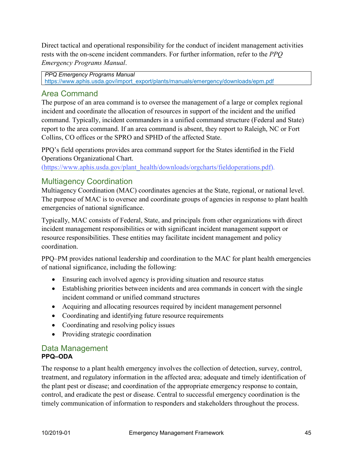Direct tactical and operational responsibility for the conduct of incident management activities rests with the on-scene incident commanders. For further information, refer to the *PPQ Emergency Programs Manual*.

*PPQ Emergency Programs Manual* [https://www.aphis.usda.gov/import\\_export/plants/manuals/emergency/downloads/epm.pdf](https://www.aphis.usda.gov/import_export/plants/manuals/emergency/downloads/epm.pdf)

# Area Command

The purpose of an area command is to oversee the management of a large or complex regional incident and coordinate the allocation of resources in support of the incident and the unified command. Typically, incident commanders in a unified command structure (Federal and State) report to the area command. If an area command is absent, they report to Raleigh, NC or Fort Collins, CO offices or the SPRO and SPHD of the affected State.

PPQ's field operations provides area command support for the States identified in the Field [Operations Organizational Chart.](https://www.aphis.usda.gov/plant_health/downloads/orgcharts/fieldoperations.pdf)

[\(https://www.aphis.usda.gov/plant\\_health/downloads/orgcharts/fieldoperations.pdf\)](https://www.aphis.usda.gov/plant_health/downloads/orgcharts/fieldoperations.pdf).

# Multiagency Coordination

Multiagency Coordination (MAC) coordinates agencies at the State, regional, or national level. The purpose of MAC is to oversee and coordinate groups of agencies in response to plant health emergencies of national significance.

Typically, MAC consists of Federal, State, and principals from other organizations with direct incident management responsibilities or with significant incident management support or resource responsibilities. These entities may facilitate incident management and policy coordination.

PPQ–PM provides national leadership and coordination to the MAC for plant health emergencies of national significance, including the following:

- Ensuring each involved agency is providing situation and resource status
- Establishing priorities between incidents and area commands in concert with the single incident command or unified command structures
- Acquiring and allocating resources required by incident management personnel
- Coordinating and identifying future resource requirements
- Coordinating and resolving policy issues
- Providing strategic coordination

#### Data Management **PPQ–ODA**

The response to a plant health emergency involves the collection of detection, survey, control, treatment, and regulatory information in the affected area; adequate and timely identification of the plant pest or disease; and coordination of the appropriate emergency response to contain, control, and eradicate the pest or disease. Central to successful emergency coordination is the timely communication of information to responders and stakeholders throughout the process.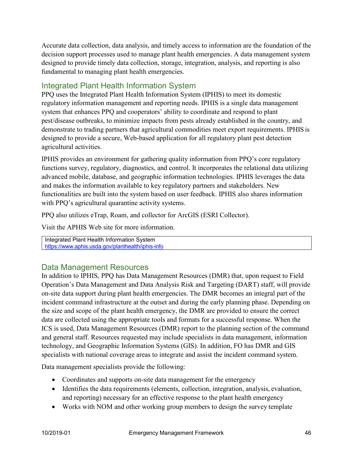Accurate data collection, data analysis, and timely access to information are the foundation of the decision support processes used to manage plant health emergencies. A data management system designed to provide timely data collection, storage, integration, analysis, and reporting is also fundamental to managing plant health emergencies.

# Integrated Plant Health Information System

PPQ uses the Integrated Plant Health Information System (IPHIS) to meet its domestic regulatory information management and reporting needs. IPHIS is a single data management system that enhances PPQ and cooperators' ability to coordinate and respond to plant pest/disease outbreaks, to minimize impacts from pests already established in the country, and demonstrate to trading partners that agricultural commodities meet export requirements. IPHIS is designed to provide a secure, Web-based application for all regulatory plant pest detection agricultural activities.

IPHIS provides an environment for gathering quality information from PPQ's core regulatory functions survey, regulatory, diagnostics, and control. It incorporates the relational data utilizing advanced mobile, database, and geographic information technologies. IPHIS leverages the data and makes the information available to key regulatory partners and stakeholders. New functionalities are built into the system based on user feedback. IPHIS also shares information with PPQ's agricultural quarantine activity systems.

PPQ also utilizes eTrap, Roam, and collector for ArcGIS (ESRI Collector).

Visit the APHIS Web site for more information.

Integrated Plant Health Information System <https://www.aphis.usda.gov/planthealth/iphis-info>

# Data Management Resources

In addition to IPHIS, PPQ has Data Management Resources (DMR) that, upon request to Field Operation's Data Management and Data Analysis Risk and Targeting (DART) staff, will provide on-site data support during plant health emergencies. The DMR becomes an integral part of the incident command infrastructure at the outset and during the early planning phase. Depending on the size and scope of the plant health emergency, the DMR are provided to ensure the correct data are collected using the appropriate tools and formats for a successful response. When the ICS is used, Data Management Resources (DMR) report to the planning section of the command and general staff. Resources requested may include specialists in data management, information technology, and Geographic Information Systems (GIS). In addition, FO has DMR and GIS specialists with national coverage areas to integrate and assist the incident command system.

Data management specialists provide the following:

- Coordinates and supports on-site data management for the emergency
- Identifies the data requirements (elements, collection, integration, analysis, evaluation, and reporting) necessary for an effective response to the plant health emergency
- Works with NOM and other working group members to design the survey template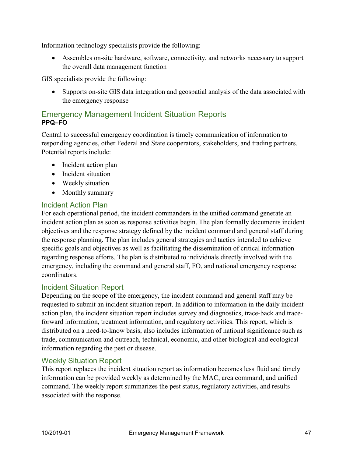Information technology specialists provide the following:

• Assembles on-site hardware, software, connectivity, and networks necessary to support the overall data management function

GIS specialists provide the following:

• Supports on-site GIS data integration and geospatial analysis of the data associated with the emergency response

# Emergency Management Incident Situation Reports **PPQ–FO**

Central to successful emergency coordination is timely communication of information to responding agencies, other Federal and State cooperators, stakeholders, and trading partners. Potential reports include:

- Incident action plan
- Incident situation
- Weekly situation
- Monthly summary

#### Incident Action Plan

For each operational period, the incident commanders in the unified command generate an incident action plan as soon as response activities begin. The plan formally documents incident objectives and the response strategy defined by the incident command and general staff during the response planning. The plan includes general strategies and tactics intended to achieve specific goals and objectives as well as facilitating the dissemination of critical information regarding response efforts. The plan is distributed to individuals directly involved with the emergency, including the command and general staff, FO, and national emergency response coordinators.

#### Incident Situation Report

Depending on the scope of the emergency, the incident command and general staff may be requested to submit an incident situation report. In addition to information in the daily incident action plan, the incident situation report includes survey and diagnostics, trace-back and traceforward information, treatment information, and regulatory activities. This report, which is distributed on a need-to-know basis, also includes information of national significance such as trade, communication and outreach, technical, economic, and other biological and ecological information regarding the pest or disease.

#### Weekly Situation Report

This report replaces the incident situation report as information becomes less fluid and timely information can be provided weekly as determined by the MAC, area command, and unified command. The weekly report summarizes the pest status, regulatory activities, and results associated with the response.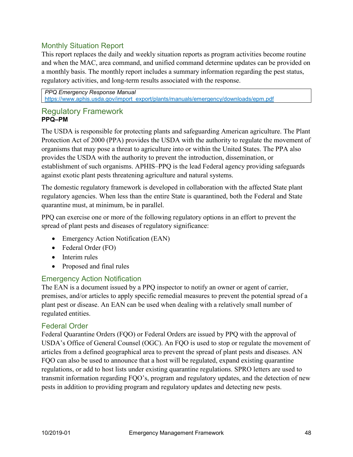## Monthly Situation Report

This report replaces the daily and weekly situation reports as program activities become routine and when the MAC, area command, and unified command determine updates can be provided on a monthly basis. The monthly report includes a summary information regarding the pest status, regulatory activities, and long-term results associated with the response.

*PPQ Emergency Response Manual* [https://www.aphis.usda.gov/import\\_export/plants/manuals/emergency/downloads/epm.pdf](https://www.aphis.usda.gov/import_export/plants/manuals/emergency/downloads/epm.pdf)

#### Regulatory Framework **PPQ–PM**

The USDA is responsible for protecting plants and safeguarding American agriculture. The Plant Protection Act of 2000 (PPA) provides the USDA with the authority to regulate the movement of organisms that may pose a threat to agriculture into or within the United States. The PPA also provides the USDA with the authority to prevent the introduction, dissemination, or establishment of such organisms. APHIS–PPQ is the lead Federal agency providing safeguards against exotic plant pests threatening agriculture and natural systems.

The domestic regulatory framework is developed in collaboration with the affected State plant regulatory agencies. When less than the entire State is quarantined, both the Federal and State quarantine must, at minimum, be in parallel.

PPQ can exercise one or more of the following regulatory options in an effort to prevent the spread of plant pests and diseases of regulatory significance:

- Emergency Action Notification (EAN)
- Federal Order (FO)
- Interim rules
- Proposed and final rules

## Emergency Action Notification

The EAN is a document issued by a PPQ inspector to notify an owner or agent of carrier, premises, and/or articles to apply specific remedial measures to prevent the potential spread of a plant pest or disease. An EAN can be used when dealing with a relatively small number of regulated entities.

#### Federal Order

Federal Quarantine Orders (FQO) or Federal Orders are issued by PPQ with the approval of USDA's Office of General Counsel (OGC). An FQO is used to stop or regulate the movement of articles from a defined geographical area to prevent the spread of plant pests and diseases. AN FQO can also be used to announce that a host will be regulated, expand existing quarantine regulations, or add to host lists under existing quarantine regulations. SPRO letters are used to transmit information regarding FQO's, program and regulatory updates, and the detection of new pests in addition to providing program and regulatory updates and detecting new pests.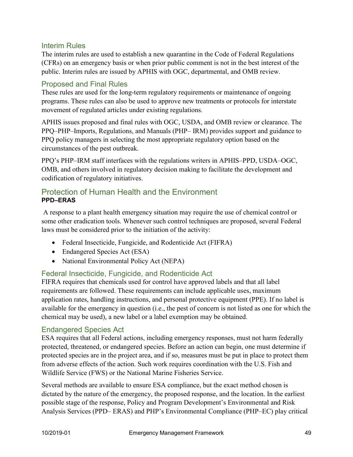#### Interim Rules

The interim rules are used to establish a new quarantine in the Code of Federal Regulations (CFRs) on an emergency basis or when prior public comment is not in the best interest of the public. Interim rules are issued by APHIS with OGC, departmental, and OMB review.

#### Proposed and Final Rules

These rules are used for the long-term regulatory requirements or maintenance of ongoing programs. These rules can also be used to approve new treatments or protocols for interstate movement of regulated articles under existing regulations.

APHIS issues proposed and final rules with OGC, USDA, and OMB review or clearance. The PPQ–PHP–Imports, Regulations, and Manuals (PHP– IRM) provides support and guidance to PPQ policy managers in selecting the most appropriate regulatory option based on the circumstances of the pest outbreak.

PPQ's PHP–IRM staff interfaces with the regulations writers in APHIS–PPD, USDA–OGC, OMB, and others involved in regulatory decision making to facilitate the development and codification of regulatory initiatives.

## Protection of Human Health and the Environment **PPD–ERAS**

A response to a plant health emergency situation may require the use of chemical control or some other eradication tools. Whenever such control techniques are proposed, several Federal laws must be considered prior to the initiation of the activity:

- Federal Insecticide, Fungicide, and Rodenticide Act (FIFRA)
- Endangered Species Act (ESA)
- National Environmental Policy Act (NEPA)

## Federal Insecticide, Fungicide, and Rodenticide Act

FIFRA requires that chemicals used for control have approved labels and that all label requirements are followed. These requirements can include applicable uses, maximum application rates, handling instructions, and personal protective equipment (PPE). If no label is available for the emergency in question (i.e., the pest of concern is not listed as one for which the chemical may be used), a new label or a label exemption may be obtained.

#### Endangered Species Act

ESA requires that all Federal actions, including emergency responses, must not harm federally protected, threatened, or endangered species. Before an action can begin, one must determine if protected species are in the project area, and if so, measures must be put in place to protect them from adverse effects of the action. Such work requires coordination with the U.S. Fish and Wildlife Service (FWS) or the National Marine Fisheries Service.

Several methods are available to ensure ESA compliance, but the exact method chosen is dictated by the nature of the emergency, the proposed response, and the location. In the earliest possible stage of the response, Policy and Program Development's Environmental and Risk Analysis Services (PPD– ERAS) and PHP's Environmental Compliance (PHP–EC) play critical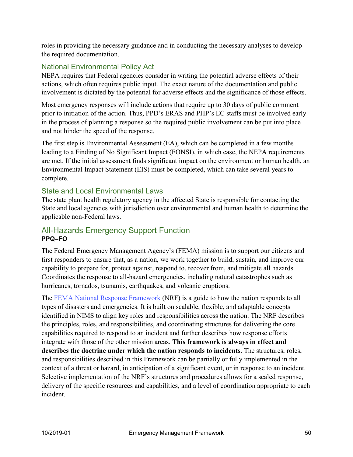roles in providing the necessary guidance and in conducting the necessary analyses to develop the required documentation.

# National Environmental Policy Act

NEPA requires that Federal agencies consider in writing the potential adverse effects of their actions, which often requires public input. The exact nature of the documentation and public involvement is dictated by the potential for adverse effects and the significance of those effects.

Most emergency responses will include actions that require up to 30 days of public comment prior to initiation of the action. Thus, PPD's ERAS and PHP's EC staffs must be involved early in the process of planning a response so the required public involvement can be put into place and not hinder the speed of the response.

The first step is Environmental Assessment (EA), which can be completed in a few months leading to a Finding of No Significant Impact (FONSI), in which case, the NEPA requirements are met. If the initial assessment finds significant impact on the environment or human health, an Environmental Impact Statement (EIS) must be completed, which can take several years to complete.

## State and Local Environmental Laws

The state plant health regulatory agency in the affected State is responsible for contacting the State and local agencies with jurisdiction over environmental and human health to determine the applicable non-Federal laws.

# All-Hazards Emergency Support Function **PPQ–FO**

The Federal Emergency Management Agency's (FEMA) mission is to support our citizens and first responders to ensure that, as a nation, we work together to build, sustain, and improve our capability to prepare for, protect against, respond to, recover from, and mitigate all hazards. Coordinates the response to all-hazard emergencies, including natural catastrophes such as hurricanes, tornados, tsunamis, earthquakes, and volcanic eruptions.

The [FEMA National Response Framework](https://www.fema.gov/media-library/assets/documents/117791) (NRF) is a guide to how the nation responds to all types of disasters and emergencies. It is built on scalable, flexible, and adaptable concepts identified in NIMS to align key roles and responsibilities across the nation. The NRF describes the principles, roles, and responsibilities, and coordinating structures for delivering the core capabilities required to respond to an incident and further describes how response efforts integrate with those of the other mission areas. **This framework is always in effect and describes the doctrine under which the nation responds to incidents**. The structures, roles, and responsibilities described in this Framework can be partially or fully implemented in the context of a threat or hazard, in anticipation of a significant event, or in response to an incident. Selective implementation of the NRF's structures and procedures allows for a scaled response, delivery of the specific resources and capabilities, and a level of coordination appropriate to each incident.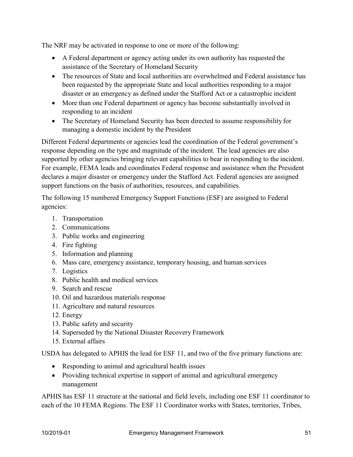The NRF may be activated in response to one or more of the following:

- A Federal department or agency acting under its own authority has requested the assistance of the Secretary of Homeland Security
- The resources of State and local authorities are overwhelmed and Federal assistance has been requested by the appropriate State and local authorities responding to a major disaster or an emergency as defined under the Stafford Act or a catastrophic incident
- More than one Federal department or agency has become substantially involved in responding to an incident
- The Secretary of Homeland Security has been directed to assume responsibility for managing a domestic incident by the President

Different Federal departments or agencies lead the coordination of the Federal government's response depending on the type and magnitude of the incident. The lead agencies are also supported by other agencies bringing relevant capabilities to bear in responding to the incident. For example, FEMA leads and coordinates Federal response and assistance when the President declares a major disaster or emergency under the Stafford Act. Federal agencies are assigned support functions on the basis of authorities, resources, and capabilities.

The following 15 numbered Emergency Support Functions (ESF) are assigned to Federal agencies:

- 1. Transportation
- 2. Communications
- 3. Public works and engineering
- 4. Fire fighting
- 5. Information and planning
- 6. Mass care, emergency assistance, temporary housing, and human services
- 7. Logistics
- 8. Public health and medical services
- 9. Search and rescue
- 10. Oil and hazardous materials response
- 11. Agriculture and natural resources
- 12. Energy
- 13. Public safety and security
- 14. Superseded by the National Disaster Recovery Framework
- 15. External affairs

USDA has delegated to APHIS the lead for ESF 11, and two of the five primary functions are:

- Responding to animal and agricultural health issues
- Providing technical expertise in support of animal and agricultural emergency management

APHIS has ESF 11 structure at the national and field levels, including one ESF 11 coordinator to each of the 10 FEMA Regions. The ESF 11 Coordinator works with States, territories, Tribes,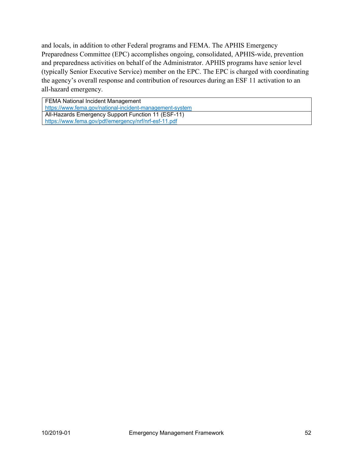and locals, in addition to other Federal programs and FEMA. The APHIS Emergency Preparedness Committee (EPC) accomplishes ongoing, consolidated, APHIS-wide, prevention and preparedness activities on behalf of the Administrator. APHIS programs have senior level (typically Senior Executive Service) member on the EPC. The EPC is charged with coordinating the agency's overall response and contribution of resources during an ESF 11 activation to an all-hazard emergency.

FEMA National Incident Management <https://www.fema.gov/national-incident-management-system> All-Hazards Emergency Support Function 11 (ESF-11) <https://www.fema.gov/pdf/emergency/nrf/nrf-esf-11.pdf>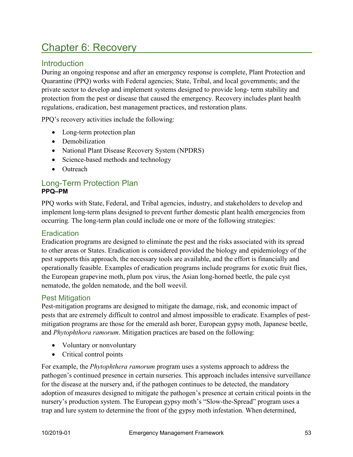# Chapter 6: Recovery

# **Introduction**

During an ongoing response and after an emergency response is complete, Plant Protection and Quarantine (PPQ) works with Federal agencies; State, Tribal, and local governments; and the private sector to develop and implement systems designed to provide long- term stability and protection from the pest or disease that caused the emergency. Recovery includes plant health regulations, eradication, best management practices, and restoration plans.

PPQ's recovery activities include the following:

- Long-term protection plan
- Demobilization
- National Plant Disease Recovery System (NPDRS)
- Science-based methods and technology
- Outreach

#### Long-Term Protection Plan **PPQ–PM**

PPQ works with State, Federal, and Tribal agencies, industry, and stakeholders to develop and implement long-term plans designed to prevent further domestic plant health emergencies from occurring. The long-term plan could include one or more of the following strategies:

## **Eradication**

Eradication programs are designed to eliminate the pest and the risks associated with its spread to other areas or States. Eradication is considered provided the biology and epidemiology of the pest supports this approach, the necessary tools are available, and the effort is financially and operationally feasible. Examples of eradication programs include programs for exotic fruit flies, the European grapevine moth, plum pox virus, the Asian long-horned beetle, the pale cyst nematode, the golden nematode, and the boll weevil.

## Pest Mitigation

Pest-mitigation programs are designed to mitigate the damage, risk, and economic impact of pests that are extremely difficult to control and almost impossible to eradicate. Examples of pestmitigation programs are those for the emerald ash borer, European gypsy moth, Japanese beetle, and *Phytophthora ramorum*. Mitigation practices are based on the following:

- Voluntary or nonvoluntary
- Critical control points

For example, the *Phytophthera ramorum* program uses a systems approach to address the pathogen's continued presence in certain nurseries. This approach includes intensive surveillance for the disease at the nursery and, if the pathogen continues to be detected, the mandatory adoption of measures designed to mitigate the pathogen's presence at certain critical points in the nursery's production system. The European gypsy moth's "Slow-the-Spread" program uses a trap and lure system to determine the front of the gypsy moth infestation. When determined,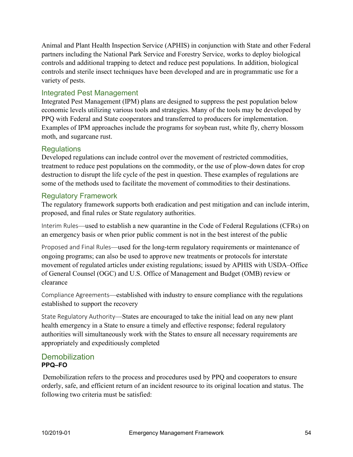Animal and Plant Health Inspection Service (APHIS) in conjunction with State and other Federal partners including the National Park Service and Forestry Service, works to deploy biological controls and additional trapping to detect and reduce pest populations. In addition, biological controls and sterile insect techniques have been developed and are in programmatic use for a variety of pests.

## Integrated Pest Management

Integrated Pest Management (IPM) plans are designed to suppress the pest population below economic levels utilizing various tools and strategies. Many of the tools may be developed by PPQ with Federal and State cooperators and transferred to producers for implementation. Examples of IPM approaches include the programs for soybean rust, white fly, cherry blossom moth, and sugarcane rust.

# **Regulations**

Developed regulations can include control over the movement of restricted commodities, treatment to reduce pest populations on the commodity, or the use of plow-down dates for crop destruction to disrupt the life cycle of the pest in question. These examples of regulations are some of the methods used to facilitate the movement of commodities to their destinations.

# Regulatory Framework

The regulatory framework supports both eradication and pest mitigation and can include interim, proposed, and final rules or State regulatory authorities.

Interim Rules—used to establish a new quarantine in the Code of Federal Regulations (CFRs) on an emergency basis or when prior public comment is not in the best interest of the public

Proposed and Final Rules—used for the long-term regulatory requirements or maintenance of ongoing programs; can also be used to approve new treatments or protocols for interstate movement of regulated articles under existing regulations; issued by APHIS with USDA–Office of General Counsel (OGC) and U.S. Office of Management and Budget (OMB) review or clearance

Compliance Agreements—established with industry to ensure compliance with the regulations established to support the recovery

State Regulatory Authority—States are encouraged to take the initial lead on any new plant health emergency in a State to ensure a timely and effective response; federal regulatory authorities will simultaneously work with the States to ensure all necessary requirements are appropriately and expeditiously completed

# **Demobilization PPQ–FO**

Demobilization refers to the process and procedures used by PPQ and cooperators to ensure orderly, safe, and efficient return of an incident resource to its original location and status. The following two criteria must be satisfied: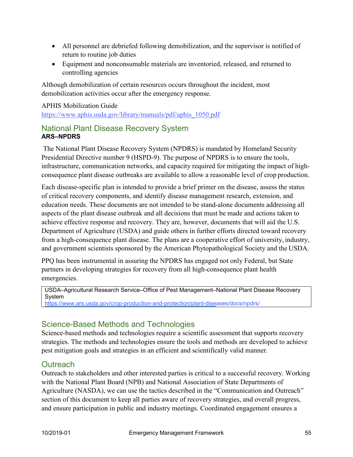- All personnel are debriefed following demobilization, and the supervisor is notified of return to routine job duties
- Equipment and nonconsumable materials are inventoried, released, and returned to controlling agencies

Although demobilization of certain resources occurs throughout the incident, most demobilization activities occur after the emergency response.

#### APHIS Mobilization Guide

[https://www.aphis.usda.gov/library/manuals/pdf/aphis\\_1050.pdf](https://www.aphis.usda.gov/library/manuals/pdf/aphis_1050.pdf)

# National Plant Disease Recovery System **ARS–NPDRS**

The National Plant Disease Recovery System (NPDRS) is mandated by Homeland Security Presidential Directive number 9 (HSPD-9). The purpose of NPDRS is to ensure the tools, infrastructure, communication networks, and capacity required for mitigating the impact of highconsequence plant disease outbreaks are available to allow a reasonable level of crop production.

Each disease-specific plan is intended to provide a brief primer on the disease, assess the status of critical recovery components, and identify disease management research, extension, and education needs. These documents are not intended to be stand-alone documents addressing all aspects of the plant disease outbreak and all decisions that must be made and actions taken to achieve effective response and recovery. They are, however, documents that will aid the U.S. Department of Agriculture (USDA) and guide others in further efforts directed toward recovery from a high-consequence plant disease. The plans are a cooperative effort of university, industry, and government scientists sponsored by the American Phytopathological Society and the USDA.

PPQ has been instrumental in assuring the NPDRS has engaged not only Federal, but State partners in developing strategies for recovery from all high-consequence plant health emergencies.

USDA–Agricultural Research Service–Office of Pest Management–National Plant Disease Recovery System

<https://www.ars.usda.gov/crop-production-and-protection/plant-diseases/docs/npdrs/>

# Science-Based Methods and Technologies

Science-based methods and technologies require a scientific assessment that supports recovery strategies. The methods and technologies ensure the tools and methods are developed to achieve pest mitigation goals and strategies in an efficient and scientifically valid manner.

# **Outreach**

Outreach to stakeholders and other interested parties is critical to a successful recovery. Working with the National Plant Board (NPB) and National Association of State Departments of Agriculture (NASDA), we can use the tactics described in the "Communication and Outreach" section of this document to keep all parties aware of recovery strategies, and overall progress, and ensure participation in public and industry meetings. Coordinated engagement ensures a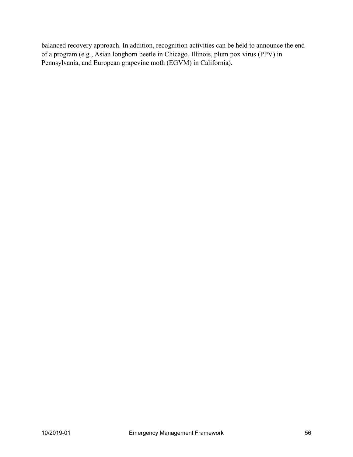balanced recovery approach. In addition, recognition activities can be held to announce the end of a program (e.g., Asian longhorn beetle in Chicago, Illinois, plum pox virus (PPV) in Pennsylvania, and European grapevine moth (EGVM) in California).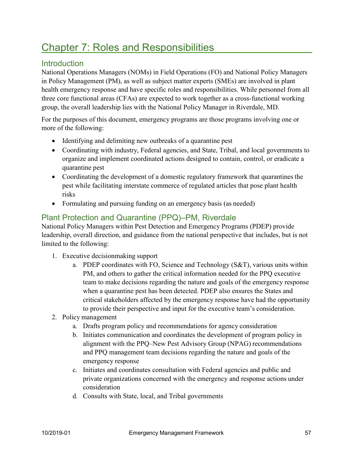# **Chapter 7: Roles and Responsibilities**

# **Introduction**

National Operations Managers (NOMs) in Field Operations (FO) and National Policy Managers in Policy Management (PM), as well as subject matter experts (SMEs) are involved in plant health emergency response and have specific roles and responsibilities. While personnel from all three core functional areas (CFAs) are expected to work together as a cross-functional working group, the overall leadership lies with the National Policy Manager in Riverdale, MD.

For the purposes of this document, emergency programs are those programs involving one or more of the following:

- Identifying and delimiting new outbreaks of a quarantine pest
- Coordinating with industry, Federal agencies, and State, Tribal, and local governments to organize and implement coordinated actions designed to contain, control, or eradicate a quarantine pest
- Coordinating the development of a domestic regulatory framework that quarantines the pest while facilitating interstate commerce of regulated articles that pose plant health risks
- Formulating and pursuing funding on an emergency basis (as needed)

# Plant Protection and Quarantine (PPQ)–PM, Riverdale

National Policy Managers within Pest Detection and Emergency Programs (PDEP) provide leadership, overall direction, and guidance from the national perspective that includes, but is not limited to the following:

- 1. Executive decisionmaking support
	- a. PDEP coordinates with FO, Science and Technology (S&T), various units within PM, and others to gather the critical information needed for the PPQ executive team to make decisions regarding the nature and goals of the emergency response when a quarantine pest has been detected. PDEP also ensures the States and critical stakeholders affected by the emergency response have had the opportunity to provide their perspective and input for the executive team's consideration.
- 2. Policy management
	- a. Drafts program policy and recommendations for agency consideration
	- b. Initiates communication and coordinates the development of program policy in alignment with the PPQ–New Pest Advisory Group (NPAG) recommendations and PPQ management team decisions regarding the nature and goals of the emergency response
	- c. Initiates and coordinates consultation with Federal agencies and public and private organizations concerned with the emergency and response actions under consideration
	- d. Consults with State, local, and Tribal governments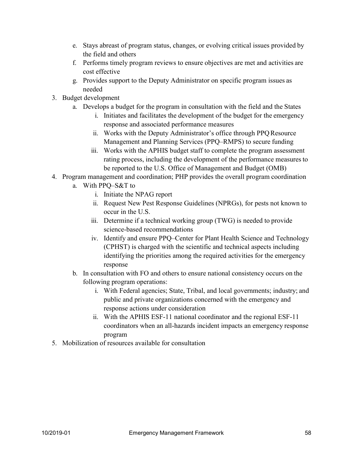- e. Stays abreast of program status, changes, or evolving critical issues provided by the field and others
- f. Performs timely program reviews to ensure objectives are met and activities are cost effective
- g. Provides support to the Deputy Administrator on specific program issues as needed
- 3. Budget development
	- a. Develops a budget for the program in consultation with the field and the States
		- i. Initiates and facilitates the development of the budget for the emergency response and associated performance measures
		- ii. Works with the Deputy Administrator's office through PPQ Resource Management and Planning Services (PPQ–RMPS) to secure funding
		- iii. Works with the APHIS budget staff to complete the program assessment rating process, including the development of the performance measuresto be reported to the U.S. Office of Management and Budget (OMB)
- 4. Program management and coordination; PHP provides the overall program coordination
	- a. With PPQ–S&T to
		- i. Initiate the NPAG report
		- ii. Request New Pest Response Guidelines (NPRGs), for pests not known to occur in the U.S.
		- iii. Determine if a technical working group (TWG) is needed to provide science-based recommendations
		- iv. Identify and ensure PPQ–Center for Plant Health Science and Technology (CPHST) is charged with the scientific and technical aspects including identifying the priorities among the required activities for the emergency response
	- b. In consultation with FO and others to ensure national consistency occurs on the following program operations:
		- i. With Federal agencies; State, Tribal, and local governments; industry; and public and private organizations concerned with the emergency and response actions under consideration
		- ii. With the APHIS ESF-11 national coordinator and the regional ESF-11 coordinators when an all-hazards incident impacts an emergency response program
- 5. Mobilization of resources available for consultation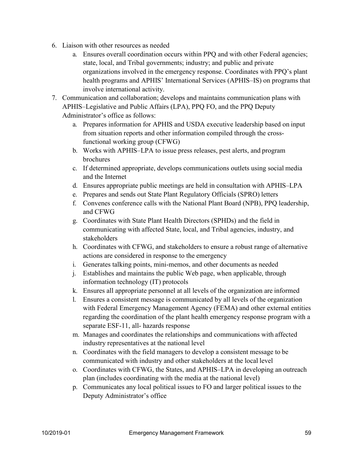- 6. Liaison with other resources as needed
	- a. Ensures overall coordination occurs within PPQ and with other Federal agencies; state, local, and Tribal governments; industry; and public and private organizations involved in the emergency response. Coordinates with PPQ's plant health programs and APHIS' International Services (APHIS–IS) on programs that involve international activity.
- 7. Communication and collaboration; develops and maintains communication plans with APHIS–Legislative and Public Affairs (LPA), PPQ FO, and the PPQ Deputy Administrator's office as follows:
	- a. Prepares information for APHIS and USDA executive leadership based on input from situation reports and other information compiled through the crossfunctional working group (CFWG)
	- b. Works with APHIS–LPA to issue press releases, pest alerts, and program brochures
	- c. If determined appropriate, develops communications outlets using social media and the Internet
	- d. Ensures appropriate public meetings are held in consultation with APHIS–LPA
	- e. Prepares and sends out State Plant Regulatory Officials (SPRO) letters
	- f. Convenes conference calls with the National Plant Board (NPB), PPQ leadership, and CFWG
	- g. Coordinates with State Plant Health Directors (SPHDs) and the field in communicating with affected State, local, and Tribal agencies, industry, and stakeholders
	- h. Coordinates with CFWG, and stakeholders to ensure a robust range of alternative actions are considered in response to the emergency
	- i. Generates talking points, mini-memos, and other documents as needed
	- j. Establishes and maintains the public Web page, when applicable, through information technology (IT) protocols
	- k. Ensures all appropriate personnel at all levels of the organization are informed
	- l. Ensures a consistent message is communicated by all levels of the organization with Federal Emergency Management Agency (FEMA) and other external entities regarding the coordination of the plant health emergency response program with a separate ESF-11, all- hazards response
	- m. Manages and coordinates the relationships and communications with affected industry representatives at the national level
	- n. Coordinates with the field managers to develop a consistent message to be communicated with industry and other stakeholders at the local level
	- o. Coordinates with CFWG, the States, and APHIS–LPA in developing an outreach plan (includes coordinating with the media at the national level)
	- p. Communicates any local political issues to FO and larger political issues to the Deputy Administrator's office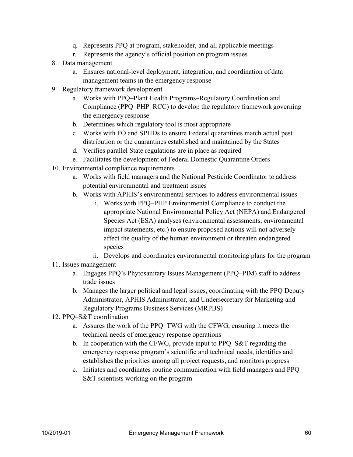- q. Represents PPQ at program, stakeholder, and all applicable meetings
- r. Represents the agency's official position on program issues
- 8. Data management
	- a. Ensures national-level deployment, integration, and coordination of data management teams in the emergency response
- 9. Regulatory framework development
	- a. Works with PPQ–Plant Health Programs–Regulatory Coordination and Compliance (PPQ–PHP–RCC) to develop the regulatory framework governing the emergency response
	- b. Determines which regulatory tool is most appropriate
	- c. Works with FO and SPHDs to ensure Federal quarantines match actual pest distribution or the quarantines established and maintained by the States
	- d. Verifies parallel State regulations are in place as required
	- e. Facilitates the development of Federal Domestic Quarantine Orders
- 10. Environmental compliance requirements
	- a. Works with field managers and the National Pesticide Coordinator to address potential environmental and treatment issues
	- b. Works with APHIS's environmental services to address environmental issues
		- i. Works with PPQ–PHP Environmental Compliance to conduct the appropriate National Environmental Policy Act (NEPA) and Endangered Species Act (ESA) analyses (environmental assessments, environmental impact statements, etc.) to ensure proposed actions will not adversely affect the quality of the human environment or threaten endangered species
		- ii. Develops and coordinates environmental monitoring plans for the program
- 11. Issues management
	- a. Engages PPQ's Phytosanitary Issues Management (PPQ–PIM) staff to address trade issues
	- b. Manages the larger political and legal issues, coordinating with the PPQ Deputy Administrator, APHIS Administrator, and Undersecretary for Marketing and Regulatory Programs Business Services (MRPBS)
- 12. PPQ–S&T coordination
	- a. Assures the work of the PPQ–TWG with the CFWG, ensuring it meets the technical needs of emergency response operations
	- b. In cooperation with the CFWG, provide input to PPQ–S&T regarding the emergency response program's scientific and technical needs, identifies and establishes the priorities among all project requests, and monitors progress
	- c. Initiates and coordinates routine communication with field managers and PPQ– S&T scientists working on the program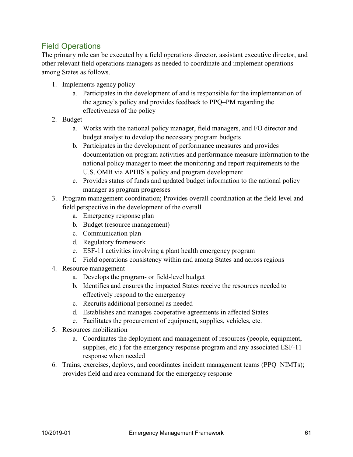# Field Operations

The primary role can be executed by a field operations director, assistant executive director, and other relevant field operations managers as needed to coordinate and implement operations among States as follows.

- 1. Implements agency policy
	- a. Participates in the development of and is responsible for the implementation of the agency's policy and provides feedback to PPQ–PM regarding the effectiveness of the policy
- 2. Budget
	- a. Works with the national policy manager, field managers, and FO director and budget analyst to develop the necessary program budgets
	- b. Participates in the development of performance measures and provides documentation on program activities and performance measure information to the national policy manager to meet the monitoring and report requirements to the U.S. OMB via APHIS's policy and program development
	- c. Provides status of funds and updated budget information to the national policy manager as program progresses
- 3. Program management coordination; Provides overall coordination at the field level and field perspective in the development of the overall
	- a. Emergency response plan
	- b. Budget (resource management)
	- c. Communication plan
	- d. Regulatory framework
	- e. ESF-11 activities involving a plant health emergency program
	- f. Field operations consistency within and among States and across regions
- 4. Resource management
	- a. Develops the program- or field-level budget
	- b. Identifies and ensures the impacted States receive the resources needed to effectively respond to the emergency
	- c. Recruits additional personnel as needed
	- d. Establishes and manages cooperative agreements in affected States
	- e. Facilitates the procurement of equipment, supplies, vehicles, etc.
- 5. Resources mobilization
	- a. Coordinates the deployment and management of resources (people, equipment, supplies, etc.) for the emergency response program and any associated ESF-11 response when needed
- 6. Trains, exercises, deploys, and coordinates incident management teams (PPQ–NIMTs); provides field and area command for the emergency response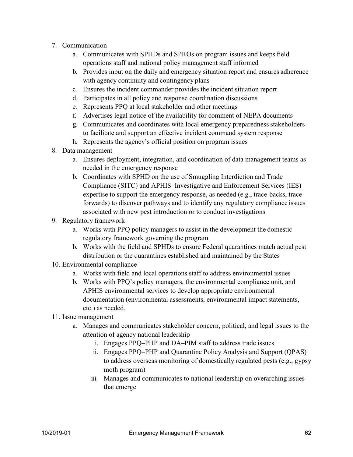- 7. Communication
	- a. Communicates with SPHDs and SPROs on program issues and keeps field operations staff and national policy management staff informed
	- b. Provides input on the daily and emergency situation report and ensures adherence with agency continuity and contingency plans
	- c. Ensures the incident commander provides the incident situation report
	- d. Participates in all policy and response coordination discussions
	- e. Represents PPQ at local stakeholder and other meetings
	- f. Advertises legal notice of the availability for comment of NEPA documents
	- g. Communicates and coordinates with local emergency preparedness stakeholders to facilitate and support an effective incident command system response
	- h. Represents the agency's official position on program issues
- 8. Data management
	- a. Ensures deployment, integration, and coordination of data management teams as needed in the emergency response
	- b. Coordinates with SPHD on the use of Smuggling Interdiction and Trade Compliance (SITC) and APHIS–Investigative and Enforcement Services (IES) expertise to support the emergency response, as needed (e.g., trace-backs, traceforwards) to discover pathways and to identify any regulatory compliance issues associated with new pest introduction or to conduct investigations
- 9. Regulatory framework
	- a. Works with PPQ policy managers to assist in the development the domestic regulatory framework governing the program
	- b. Works with the field and SPHDs to ensure Federal quarantines match actual pest distribution or the quarantines established and maintained by the States
- 10. Environmental compliance
	- a. Works with field and local operations staff to address environmental issues
	- b. Works with PPQ's policy managers, the environmental compliance unit, and APHIS environmental services to develop appropriate environmental documentation (environmental assessments, environmental impact statements, etc.) as needed.
- 11. Issue management
	- a. Manages and communicates stakeholder concern, political, and legal issues to the attention of agency national leadership
		- i. Engages PPQ–PHP and DA–PIM staff to address trade issues
		- ii. Engages PPQ–PHP and Quarantine Policy Analysis and Support (QPAS) to address overseas monitoring of domestically regulated pests (e.g., gypsy moth program)
		- iii. Manages and communicates to national leadership on overarching issues that emerge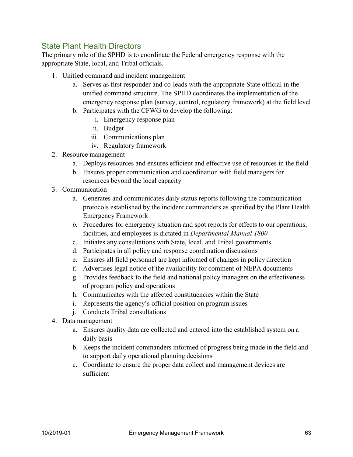# State Plant Health Directors

The primary role of the SPHD is to coordinate the Federal emergency response with the appropriate State, local, and Tribal officials.

- 1. Unified command and incident management
	- a. Serves as first responder and co-leads with the appropriate State official in the unified command structure. The SPHD coordinates the implementation of the emergency response plan (survey, control, regulatory framework) at the field level
	- b. Participates with the CFWG to develop the following:
		- i. Emergency response plan
		- ii. Budget
		- iii. Communications plan
		- iv. Regulatory framework
- 2. Resource management
	- a. Deploys resources and ensures efficient and effective use of resources in the field
	- b. Ensures proper communication and coordination with field managers for resources beyond the local capacity
- 3. Communication
	- a. Generates and communicates daily status reports following the communication protocols established by the incident commanders as specified by the Plant Health Emergency Framework
	- *b.* Procedures for emergency situation and spot reports for effects to our operations, facilities, and employees is dictated in *Departmental Manual 1800*
	- c. Initiates any consultations with State, local, and Tribal governments
	- d. Participates in all policy and response coordination discussions
	- e. Ensures all field personnel are kept informed of changes in policy direction
	- f. Advertises legal notice of the availability for comment of NEPA documents
	- g. Provides feedback to the field and national policy managers on the effectiveness of program policy and operations
	- h. Communicates with the affected constituencies within the State
	- i. Represents the agency's official position on program issues
	- j. Conducts Tribal consultations
- 4. Data management
	- a. Ensures quality data are collected and entered into the established system on a daily basis
	- b. Keeps the incident commanders informed of progress being made in the field and to support daily operational planning decisions
	- c. Coordinate to ensure the proper data collect and management devices are sufficient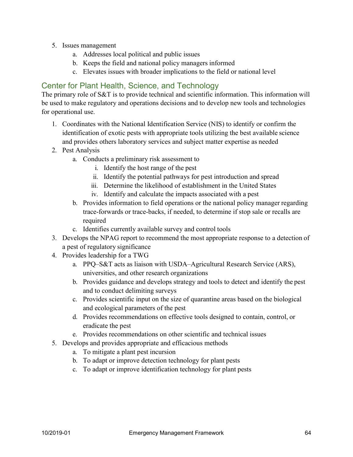- 5. Issues management
	- a. Addresses local political and public issues
	- b. Keeps the field and national policy managers informed
	- c. Elevates issues with broader implications to the field or national level

# Center for Plant Health, Science, and Technology

The primary role of S&T is to provide technical and scientific information. This information will be used to make regulatory and operations decisions and to develop new tools and technologies for operational use.

- 1. Coordinates with the National Identification Service (NIS) to identify or confirm the identification of exotic pests with appropriate tools utilizing the best available science and provides others laboratory services and subject matter expertise as needed
- 2. Pest Analysis
	- a. Conducts a preliminary risk assessment to
		- i. Identify the host range of the pest
		- ii. Identify the potential pathways for pest introduction and spread
		- iii. Determine the likelihood of establishment in the United States
		- iv. Identify and calculate the impacts associated with a pest
	- b. Provides information to field operations or the national policy manager regarding trace-forwards or trace-backs, if needed, to determine if stop sale or recalls are required
	- c. Identifies currently available survey and control tools
- 3. Develops the NPAG report to recommend the most appropriate response to a detection of a pest of regulatory significance
- 4. Provides leadership for a TWG
	- a. PPQ–S&T acts as liaison with USDA–Agricultural Research Service (ARS), universities, and other research organizations
	- b. Provides guidance and develops strategy and tools to detect and identify the pest and to conduct delimiting surveys
	- c. Provides scientific input on the size of quarantine areas based on the biological and ecological parameters of the pest
	- d. Provides recommendations on effective tools designed to contain, control, or eradicate the pest
	- e. Provides recommendations on other scientific and technical issues
- 5. Develops and provides appropriate and efficacious methods
	- a. To mitigate a plant pest incursion
	- b. To adapt or improve detection technology for plant pests
	- c. To adapt or improve identification technology for plant pests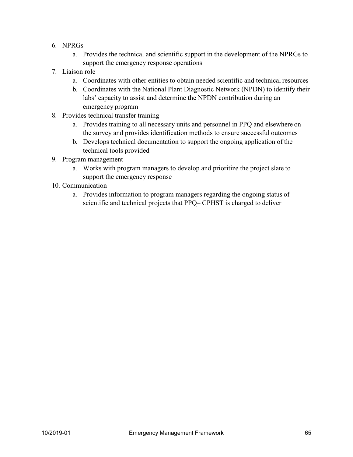- 6. NPRGs
	- a. Provides the technical and scientific support in the development of the NPRGs to support the emergency response operations
- 7. Liaison role
	- a. Coordinates with other entities to obtain needed scientific and technical resources
	- b. Coordinates with the National Plant Diagnostic Network (NPDN) to identify their labs' capacity to assist and determine the NPDN contribution during an emergency program
- 8. Provides technical transfer training
	- a. Provides training to all necessary units and personnel in PPQ and elsewhere on the survey and provides identification methods to ensure successful outcomes
	- b. Develops technical documentation to support the ongoing application of the technical tools provided
- 9. Program management
	- a. Works with program managers to develop and prioritize the project slate to support the emergency response
- 10. Communication
	- a. Provides information to program managers regarding the ongoing status of scientific and technical projects that PPQ– CPHST is charged to deliver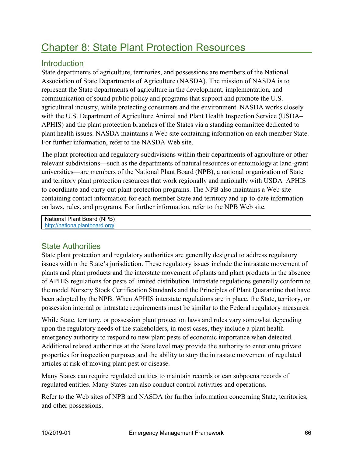# Chapter 8: State Plant Protection Resources

# **Introduction**

State departments of agriculture, territories, and possessions are members of the National Association of State Departments of Agriculture (NASDA). The mission of NASDA is to represent the State departments of agriculture in the development, implementation, and communication of sound public policy and programs that support and promote the U.S. agricultural industry, while protecting consumers and the environment. NASDA works closely with the U.S. Department of Agriculture Animal and Plant Health Inspection Service (USDA– APHIS) and the plant protection branches of the States via a standing committee dedicated to plant health issues. NASDA maintains a Web site containing information on each member State. For further information, refer to the NASDA Web site.

The plant protection and regulatory subdivisions within their departments of agriculture or other relevant subdivisions—such as the departments of natural resources or entomology at land-grant universities—are members of the National Plant Board (NPB), a national organization of State and territory plant protection resources that work regionally and nationally with USDA–APHIS to coordinate and carry out plant protection programs. The NPB also maintains a Web site containing contact information for each member State and territory and up-to-date information on laws, rules, and programs. For further information, refer to the NPB Web site.

National Plant Board (NPB) <http://nationalplantboard.org/>

# State Authorities

State plant protection and regulatory authorities are generally designed to address regulatory issues within the State's jurisdiction. These regulatory issues include the intrastate movement of plants and plant products and the interstate movement of plants and plant products in the absence of APHIS regulations for pests of limited distribution. Intrastate regulations generally conform to the model Nursery Stock Certification Standards and the Principles of Plant Quarantine that have been adopted by the NPB. When APHIS interstate regulations are in place, the State, territory, or possession internal or intrastate requirements must be similar to the Federal regulatory measures.

While State, territory, or possession plant protection laws and rules vary somewhat depending upon the regulatory needs of the stakeholders, in most cases, they include a plant health emergency authority to respond to new plant pests of economic importance when detected. Additional related authorities at the State level may provide the authority to enter onto private properties for inspection purposes and the ability to stop the intrastate movement of regulated articles at risk of moving plant pest or disease.

Many States can require regulated entities to maintain records or can subpoena records of regulated entities. Many States can also conduct control activities and operations.

Refer to the Web sites of NPB and NASDA for further information concerning State, territories, and other possessions.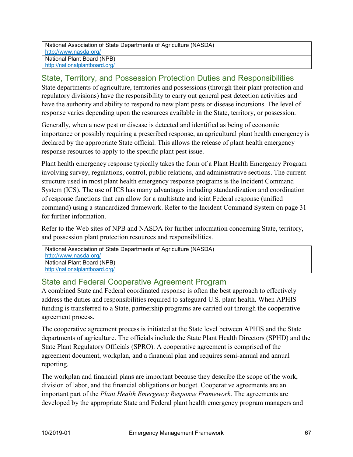# State, Territory, and Possession Protection Duties and Responsibilities

State departments of agriculture, territories and possessions (through their plant protection and regulatory divisions) have the responsibility to carry out general pest detection activities and have the authority and ability to respond to new plant pests or disease incursions. The level of response varies depending upon the resources available in the State, territory, or possession.

Generally, when a new pest or disease is detected and identified as being of economic importance or possibly requiring a prescribed response, an agricultural plant health emergency is declared by the appropriate State official. This allows the release of plant health emergency response resources to apply to the specific plant pest issue.

Plant health emergency response typically takes the form of a Plant Health Emergency Program involving survey, regulations, control, public relations, and administrative sections. The current structure used in most plant health emergency response programs is the Incident Command System (ICS). The use of ICS has many advantages including standardization and coordination of response functions that can allow for a multistate and joint Federal response (unified command) using a standardized framework. Refer to the Incident Command System on page 31 for further information.

Refer to the Web sites of NPB and NASDA for further information concerning State, territory, and possession plant protection resources and responsibilities.

| National Association of State Departments of Agriculture (NASDA) |
|------------------------------------------------------------------|
| http://www.nasda.org/                                            |
| National Plant Board (NPB)                                       |
| http://nationalplantboard.org/                                   |

# State and Federal Cooperative Agreement Program

A combined State and Federal coordinated response is often the best approach to effectively address the duties and responsibilities required to safeguard U.S. plant health. When APHIS funding is transferred to a State, partnership programs are carried out through the cooperative agreement process.

The cooperative agreement process is initiated at the State level between APHIS and the State departments of agriculture. The officials include the State Plant Health Directors (SPHD) and the State Plant Regulatory Officials (SPRO). A cooperative agreement is comprised of the agreement document, workplan, and a financial plan and requires semi-annual and annual reporting.

The workplan and financial plans are important because they describe the scope of the work, division of labor, and the financial obligations or budget. Cooperative agreements are an important part of the *Plant Health Emergency Response Framework*. The agreements are developed by the appropriate State and Federal plant health emergency program managers and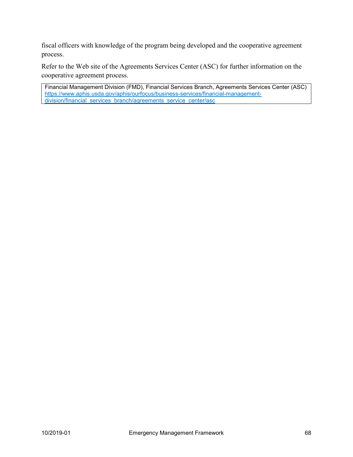fiscal officers with knowledge of the program being developed and the cooperative agreement process.

Refer to the Web site of the Agreements Services Center (ASC) for further information on the cooperative agreement process.

Financial Management Division (FMD), Financial Services Branch, Agreements Services Center (ASC) [https://www.aphis.usda.gov/aphis/ourfocus/business-services/financial-management](https://www.aphis.usda.gov/aphis/ourfocus/business-services/financial-management-division/financial_services_branch/agreements_service_center/asc)[division/financial\\_services\\_branch/agreements\\_service\\_center/asc](https://www.aphis.usda.gov/aphis/ourfocus/business-services/financial-management-division/financial_services_branch/agreements_service_center/asc)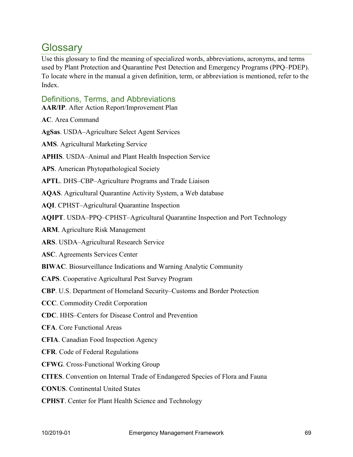# **Glossarv**

Use this glossary to find the meaning of specialized words, abbreviations, acronyms, and terms used by Plant Protection and Quarantine Pest Detection and Emergency Programs (PPQ–PDEP). To locate where in the manual a given definition, term, or abbreviation is mentioned, refer to the Index.

# Definitions, Terms, and Abbreviations

**AAR/IP**. After Action Report/Improvement Plan

**AC**. Area Command

**AgSas**. USDA–Agriculture Select Agent Services

**AMS**. Agricultural Marketing Service

**APHIS**. USDA–Animal and Plant Health Inspection Service

**APS**. American Phytopathological Society

**APTL**. DHS–CBP–Agriculture Programs and Trade Liaison

**AQAS**. Agricultural Quarantine Activity System, a Web database

**AQI**. CPHST–Agricultural Quarantine Inspection

**AQIPT**. USDA–PPQ–CPHST–Agricultural Quarantine Inspection and Port Technology

**ARM**. Agriculture Risk Management

**ARS**. USDA–Agricultural Research Service

**ASC**. Agreements Services Center

**BIWAC**. Biosurveillance Indications and Warning Analytic Community

**CAPS**. Cooperative Agricultural Pest Survey Program

**CBP**. U.S. Department of Homeland Security–Customs and Border Protection

**CCC**. Commodity Credit Corporation

**CDC**. HHS–Centers for Disease Control and Prevention

**CFA**. Core Functional Areas

**CFIA**. Canadian Food Inspection Agency

**CFR**. Code of Federal Regulations

**CFWG**. Cross-Functional Working Group

**CITES**. Convention on Internal Trade of Endangered Species of Flora and Fauna

**CONUS**. Continental United States

**CPHST**. Center for Plant Health Science and Technology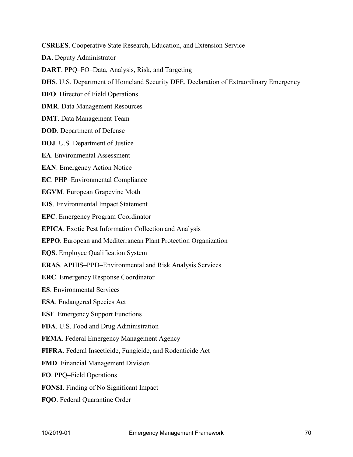**CSREES**. Cooperative State Research, Education, and Extension Service

**DA**. Deputy Administrator

**DART**. PPQ–FO–Data, Analysis, Risk, and Targeting

**DHS**. U.S. Department of Homeland Security DEE. Declaration of Extraordinary Emergency

**DFO**. Director of Field Operations

**DMR**. Data Management Resources

**DMT**. Data Management Team

**DOD**. Department of Defense

**DOJ**. U.S. Department of Justice

**EA**. Environmental Assessment

**EAN**. Emergency Action Notice

**EC**. PHP–Environmental Compliance

**EGVM**. European Grapevine Moth

**EIS**. Environmental Impact Statement

**EPC**. Emergency Program Coordinator

**EPICA**. Exotic Pest Information Collection and Analysis

**EPPO**. European and Mediterranean Plant Protection Organization

**EQS**. Employee Qualification System

**ERAS**. APHIS–PPD–Environmental and Risk Analysis Services

**ERC**. Emergency Response Coordinator

**ES**. Environmental Services

**ESA**. Endangered Species Act

**ESF**. Emergency Support Functions

**FDA**. U.S. Food and Drug Administration

**FEMA**. Federal Emergency Management Agency

**FIFRA**. Federal Insecticide, Fungicide, and Rodenticide Act

**FMD**. Financial Management Division

**FO**. PPQ–Field Operations

**FONSI**. Finding of No Significant Impact

**FQO**. Federal Quarantine Order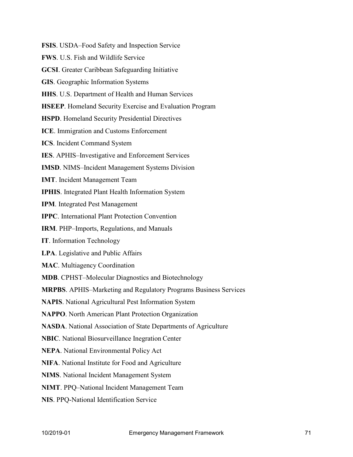**FSIS**. USDA–Food Safety and Inspection Service **FWS**. U.S. Fish and Wildlife Service **GCSI**. Greater Caribbean Safeguarding Initiative **GIS**. Geographic Information Systems **HHS**. U.S. Department of Health and Human Services **HSEEP**. Homeland Security Exercise and Evaluation Program **HSPD**. Homeland Security Presidential Directives **ICE**. Immigration and Customs Enforcement **ICS**. Incident Command System **IES**. APHIS–Investigative and Enforcement Services **IMSD**. NIMS–Incident Management Systems Division **IMT**. Incident Management Team **IPHIS**. Integrated Plant Health Information System **IPM**. Integrated Pest Management **IPPC**. International Plant Protection Convention **IRM**. PHP–Imports, Regulations, and Manuals **IT**. Information Technology **LPA**. Legislative and Public Affairs **MAC**. Multiagency Coordination **MDB**. CPHST–Molecular Diagnostics and Biotechnology **MRPBS**. APHIS–Marketing and Regulatory Programs Business Services **NAPIS**. National Agricultural Pest Information System **NAPPO**. North American Plant Protection Organization **NASDA**. National Association of State Departments of Agriculture **NBIC**. National Biosurveillance Inegration Center **NEPA**. National Environmental Policy Act **NIFA**. National Institute for Food and Agriculture **NIMS**. National Incident Management System **NIMT**. PPQ–National Incident Management Team **NIS**. PPQ-National Identification Service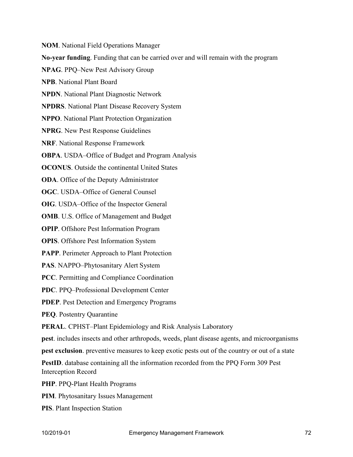**NOM**. National Field Operations Manager **No-year funding**. Funding that can be carried over and will remain with the program **NPAG**. PPQ–New Pest Advisory Group **NPB**. National Plant Board **NPDN**. National Plant Diagnostic Network **NPDRS**. National Plant Disease Recovery System **NPPO**. National Plant Protection Organization **NPRG**. New Pest Response Guidelines **NRF**. National Response Framework **OBPA**. USDA–Office of Budget and Program Analysis **OCONUS**. Outside the continental United States **ODA**. Office of the Deputy Administrator **OGC**. USDA–Office of General Counsel **OIG**. USDA–Office of the Inspector General **OMB**. U.S. Office of Management and Budget **OPIP**. Offshore Pest Information Program **OPIS**. Offshore Pest Information System **PAPP**. Perimeter Approach to Plant Protection **PAS**. NAPPO–Phytosanitary Alert System **PCC**. Permitting and Compliance Coordination **PDC**. PPQ–Professional Development Center **PDEP**. Pest Detection and Emergency Programs **PEQ**. Postentry Quarantine **PERAL**. CPHST–Plant Epidemiology and Risk Analysis Laboratory **pest**. includes insects and other arthropods, weeds, plant disease agents, and microorganisms **pest exclusion**. preventive measures to keep exotic pests out of the country or out of a state **PestID**. database containing all the information recorded from the PPQ Form 309 Pest Interception Record

**PHP**. PPQ-Plant Health Programs

**PIM**. Phytosanitary Issues Management

**PIS**. Plant Inspection Station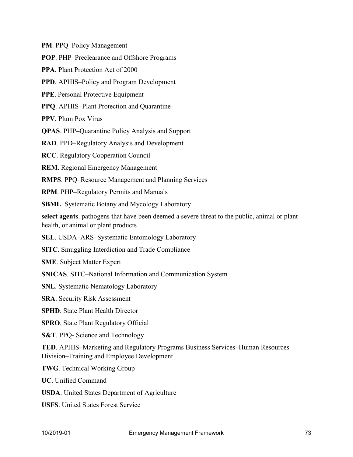**PM**. PPQ–Policy Management

**POP**. PHP–Preclearance and Offshore Programs

**PPA**. Plant Protection Act of 2000

**PPD**. APHIS–Policy and Program Development

**PPE**. Personal Protective Equipment

**PPQ**. APHIS–Plant Protection and Quarantine

**PPV**. Plum Pox Virus

**QPAS**. PHP–Quarantine Policy Analysis and Support

**RAD**. PPD–Regulatory Analysis and Development

**RCC**. Regulatory Cooperation Council

**REM**. Regional Emergency Management

**RMPS**. PPQ–Resource Management and Planning Services

**RPM**. PHP–Regulatory Permits and Manuals

**SBML**. Systematic Botany and Mycology Laboratory

**select agents**. pathogens that have been deemed a severe threat to the public, animal or plant health, or animal or plant products

**SEL**. USDA–ARS–Systematic Entomology Laboratory

**SITC**. Smuggling Interdiction and Trade Compliance

**SME**. Subject Matter Expert

**SNICAS**. SITC–National Information and Communication System

**SNL**. Systematic Nematology Laboratory

**SRA**. Security Risk Assessment

**SPHD**. State Plant Health Director

**SPRO**. State Plant Regulatory Official

**S&T**. PPQ- Science and Technology

**TED**. APHIS–Marketing and Regulatory Programs Business Services–Human Resources Division–Training and Employee Development

**TWG**. Technical Working Group

**UC**. Unified Command

**USDA**. United States Department of Agriculture

**USFS**. United States Forest Service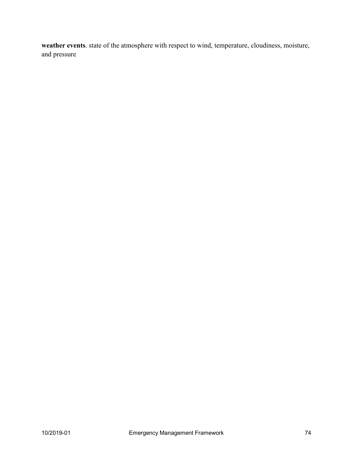**weather events**. state of the atmosphere with respect to wind, temperature, cloudiness, moisture, and pressure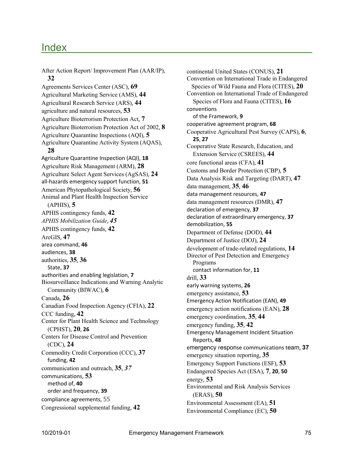## Index

After Action Report/ Improvement Plan (AAR/IP), **32** Agreements Services Center (ASC), **69**  Agricultural Marketing Service (AMS), **44**  Agricultural Research Service (ARS), **44**  agriculture and natural resources, **53**  Agriculture Bioterrorism Protection Act, **7** Agriculture Bioterrorism Protection Act of 2002, **8**  Agriculture Quarantine Inspections (AQI), **5**  Agriculture Quarantine Activity System (AQAS), **28** Agriculture Quarantine Inspection (AQI), **18**  Agriculture Risk Management (ARM), **28**  Agriculture Select Agent Services (AgSAS), **24**  all-hazards emergency support function, **51**  American Phytopathological Society, **56**  Animal and Plant Health Inspection Service (APHIS), **5** APHIS contingency funds, **42**  *APHIS Mobilization Guide*, *45*  APHIS contingency funds, **42**  ArcGIS, **47** area command, **46** audiences, **38** authorities, **35**, **36** State, **37** authorities and enabling legislation, **7** Biosurveillance Indications and Warning Analytic Community (BIWAC), **6** Canada, **26** Canadian Food Inspection Agency (CFIA), **22** CCC funding, **42** Center for Plant Health Science and Technology (CPHST), **20**, **26** Centers for Disease Control and Prevention (CDC), **24** Commodity Credit Corporation (CCC), **37** funding, **42** communication and outreach, **35**, *37* communications, **53** method of, **40** order and frequency, **39** compliance agreements, 55 Congressional supplemental funding, **42**

continental United States (CONUS), **21** Convention on International Trade in Endangered Species of Wild Fauna and Flora (CITES), **20**  Convention on International Trade of Endangered Species of Flora and Fauna (CITES), **16** conventions of the Framework, **9** cooperative agreement program, **68** Cooperative Agricultural Pest Survey (CAPS), **6**, **25**, **27** Cooperative State Research, Education, and Extension Service (CSREES), **44** core functional areas (CFA), **41** Customs and Border Protection (CBP), **5** Data Analysis Risk and Targeting (DART), **47** data management, **35**, **46** data management resources, **47** data management resources (DMR), **47** declaration of emergency, **37** declaration of extraordinary emergency, **37** demobilization, **55** Department of Defense (DOD), **44**  Department of Justice (DOJ), **24**  development of trade-related regulations, **14**  Director of Pest Detection and Emergency Programs contact information for, **11** drill, **33** early warning systems, **26** emergency assistance, **53** Emergency Action Notification (EAN), **49**  emergency action notifications (EAN), **28**  emergency coordination, **35**, **44** emergency funding, **35**, **42** Emergency Management Incident Situation Reports, **48** emergency response communications team, **37** emergency situation reporting, **35**  Emergency Support Functions (ESF), **53**  Endangered Species Act (ESA), **7**, **20**, **50** energy, **53** Environmental and Risk Analysis Services (ERAS), **50** Environmental Assessment (EA), **51** Environmental Compliance (EC), **50**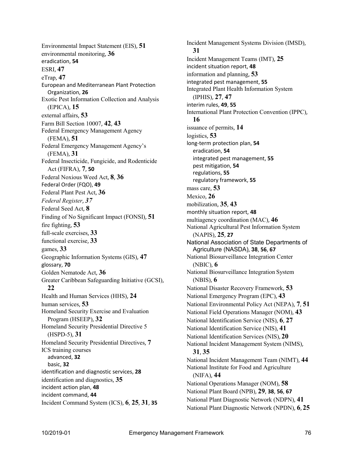Environmental Impact Statement (EIS), **51** environmental monitoring, **36** eradication, **54** ESRI, **47** eTrap, **47** European and Mediterranean Plant Protection Organization, **26** Exotic Pest Information Collection and Analysis (EPICA), **15** external affairs, **53** Farm Bill Section 10007, **42**, **43** Federal Emergency Management Agency (FEMA), **51** Federal Emergency Management Agency's (FEMA), **31** Federal Insecticide, Fungicide, and Rodenticide Act (FIFRA), **7**, **50** Federal Noxious Weed Act, **8**, **36** Federal Order (FQO), **49**  Federal Plant Pest Act, **36**  *Federal Register*, *37*  Federal Seed Act, **8** Finding of No Significant Impact (FONSI), **51** fire fighting, **53** full-scale exercises, **33** functional exercise, **33** games, **33** Geographic Information Systems (GIS), **47** glossary, **70** Golden Nematode Act, **36** Greater Caribbean Safeguarding Initiative (GCSI), **22** Health and Human Services (HHS), **24** human services, **53** Homeland Security Exercise and Evaluation Program (HSEEP), **32** Homeland Security Presidential Directive 5 (HSPD-5), **31** Homeland Security Presidential Directives, **7** ICS training courses advanced, **32** basic, **32** identification and diagnostic services, **28**  identification and diagnostics, **35**  incident action plan, **48** incident command, **44** Incident Command System (ICS), **6**, **25**, **31**, **35**

Incident Management Systems Division (IMSD), **31** Incident Management Teams (IMT), **25**  incident situation report, **48**  information and planning, **53**  integrated pest management, **55** Integrated Plant Health Information System (IPHIS), **27**, **47** interim rules, **49**, **55** International Plant Protection Convention (IPPC), **16** issuance of permits, **14** logistics, **53** long-term protection plan, **54** eradication, **54** integrated pest management, **55** pest mitigation, **54** regulations, **55** regulatory framework, **55** mass care, **53** Mexico, **26** mobilization, **35**, **43** monthly situation report, **48** multiagency coordination (MAC), **46** National Agricultural Pest Information System (NAPIS), **25**, **27** National Association of State Departments of Agriculture (NASDA), **38**, **56**, **67** National Biosurveillance Integration Center (NBIC), **6** National Biosurveillance Integration System (NBIS), **6** National Disaster Recovery Framework, **53** National Emergency Program (EPC), **43** National Environmental Policy Act (NEPA), **7**, **51**  National Field Operations Manager (NOM), **43**  National Identification Service (NIS), **6**, **27**  National Identification Service (NIS), **41** National Identification Services (NIS), **20** National Incident Management System (NIMS), **31**, **35** National Incident Management Team (NIMT), **44** National Institute for Food and Agriculture (NIFA), **44** National Operations Manager (NOM), **58**  National Plant Board (NPB), **29**, **38**, **56**, **67**  National Plant Diagnostic Network (NDPN), **41**  National Plant Diagnostic Network (NPDN), **6**, **25**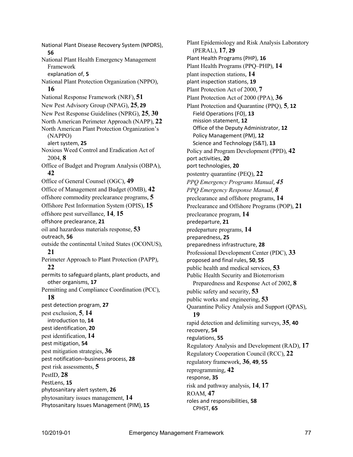National Plant Disease Recovery System (NPDRS), **56** National Plant Health Emergency Management Framework explanation of, **5** National Plant Protection Organization (NPPO), **16** National Response Framework (NRF), **51** New Pest Advisory Group (NPAG), **25**, **29** New Pest Response Guidelines (NPRG), **25**, **30**  North American Perimeter Approach (NAPP), **22**  North American Plant Protection Organization's (NAPPO) alert system, **25** Noxious Weed Control and Eradication Act of 2004, **8** Office of Budget and Program Analysis (OBPA), **42** Office of General Counsel (OGC), **49** Office of Management and Budget (OMB), **42**  offshore commodity preclearance programs, **5**  Offshore Pest Information System (OPIS), **15**  offshore pest surveillance, **14**, **15** offshore preclearance, **21** oil and hazardous materials response, **53** outreach, **56** outside the continental United States (OCONUS), **21** Perimeter Approach to Plant Protection (PAPP), **22** permits to safeguard plants, plant products, and other organisms, **17** Permitting and Compliance Coordination (PCC), **18** pest detection program, **27** pest exclusion, **5**, **14** introduction to, **14** pest identification, **20** pest identification, **14** pest mitigation, **54** pest mitigation strategies, **36** pest notification–business process, **28** pest risk assessments, **5** PestID, **28** PestLens, **15** phytosanitary alert system, **26**  phytosanitary issues management, **14**  Phytosanitary Issues Management (PIM), **15**

Plant Epidemiology and Risk Analysis Laboratory (PERAL), **17**, **29** Plant Health Programs (PHP), **16** Plant Health Programs (PPQ–PHP), **14** plant inspection stations, **14**  plant inspection stations, **19**  Plant Protection Act of 2000, **7** Plant Protection Act of 2000 (PPA), **36** Plant Protection and Quarantine (PPQ), **5**, **12** Field Operations (FO), **13** mission statement, **12** Office of the Deputy Administrator, **12** Policy Management (PM), **12** Science and Technology (S&T), **13** Policy and Program Development (PPD), **42** port activities, **20** port technologies, **20** postentry quarantine (PEQ), **22** *PPQ Emergency Programs Manual*, *45 PPQ Emergency Response Manual*, *8*  preclearance and offshore programs, **14** Preclearance and Offshore Programs (POP), **21** preclearance program, **14** predeparture, **21** predeparture programs, **14** preparedness, **25** preparedness infrastructure, **28**  Professional Development Center (PDC), **33**  proposed and final rules, **50**, **55** public health and medical services, **53** Public Health Security and Bioterrorism Preparedness and Response Act of 2002, **8** public safety and security, **53** public works and engineering, **53** Quarantine Policy Analysis and Support (QPAS), **19** rapid detection and delimiting surveys, **35**, **40** recovery, **54** regulations, **55** Regulatory Analysis and Development (RAD), **17**  Regulatory Cooperation Council (RCC), **22**  regulatory framework, **36**, **49**, **55** reprogramming, **42** response, **35** risk and pathway analysis, **14**, **17** ROAM, **47** roles and responsibilities, **58** CPHST, **65**